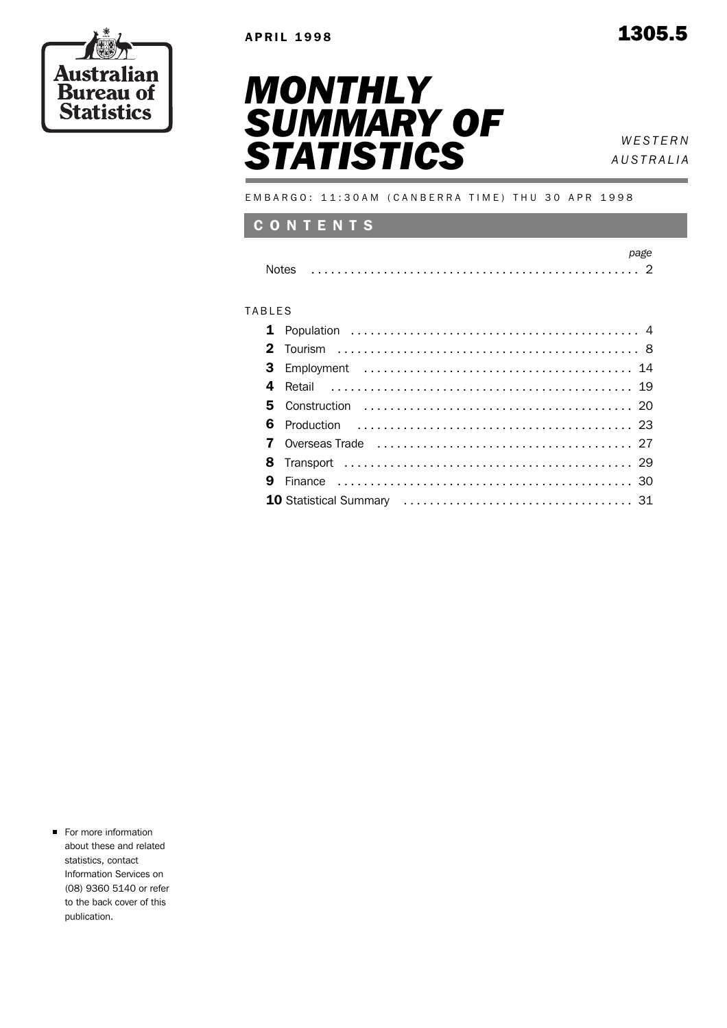



 *A U S T R A L I A*

EMBARGO: 11:30AM (CANBERRA TIME) THU 30 APR 1998

### C O N T E N T S

| <b>Notes</b> |  |  |  |
|--------------|--|--|--|

#### **TABLES**

For more information about these and related statistics, contact Information Services on (08) 9360 5140 or refer to the back cover of this publication.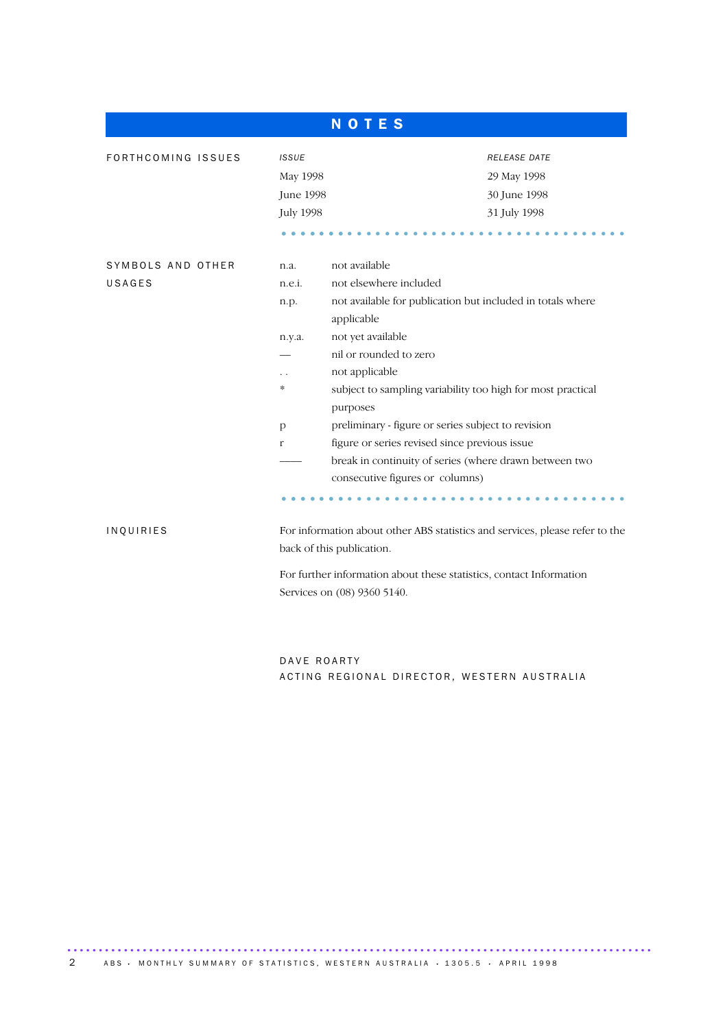|                             |                                                                                                    | <b>NOTES</b>                                                                                                                                                                                                                                                                                                                                                                                                                                                        |
|-----------------------------|----------------------------------------------------------------------------------------------------|---------------------------------------------------------------------------------------------------------------------------------------------------------------------------------------------------------------------------------------------------------------------------------------------------------------------------------------------------------------------------------------------------------------------------------------------------------------------|
| FORTHCOMING ISSUES          | <b>ISSUE</b><br>May 1998<br><b>June 1998</b>                                                       | RELEASE DATE<br>29 May 1998<br>30 June 1998                                                                                                                                                                                                                                                                                                                                                                                                                         |
|                             | <b>July 1998</b>                                                                                   | 31 July 1998                                                                                                                                                                                                                                                                                                                                                                                                                                                        |
| SYMBOLS AND OTHER<br>USAGES | n.a.<br>n.e.i.<br>n.p.<br>n.y.a.<br>$\ddot{\phantom{1}}$<br>$\ast$<br>$\mathbf{p}$<br>$\mathbf{r}$ | not available<br>not elsewhere included<br>not available for publication but included in totals where<br>applicable<br>not yet available<br>nil or rounded to zero<br>not applicable<br>subject to sampling variability too high for most practical<br>purposes<br>preliminary - figure or series subject to revision<br>figure or series revised since previous issue<br>break in continuity of series (where drawn between two<br>consecutive figures or columns) |
| INQUIRIES                   |                                                                                                    | For information about other ABS statistics and services, please refer to the<br>back of this publication.<br>For further information about these statistics, contact Information<br>Services on (08) 9360 5140.                                                                                                                                                                                                                                                     |

DAVE ROARTY ACTING REGIONAL DIRECTOR, WESTERN AUSTRALIA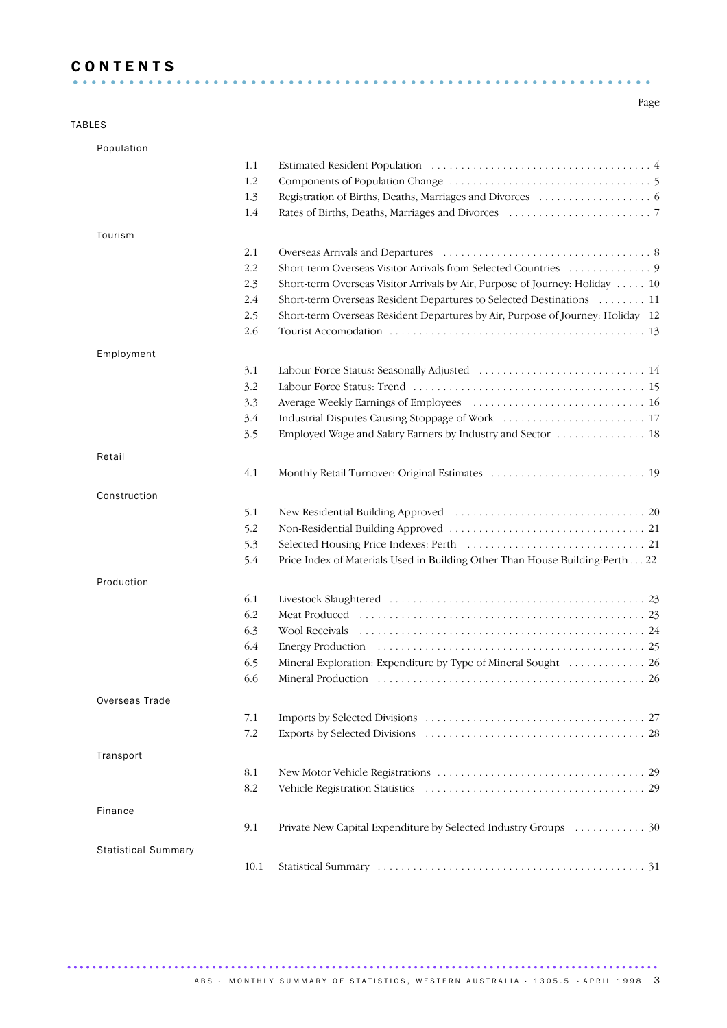## C O N T E N T S .............................................................. .

#### TABLES

Population 1.1 Estimated Resident Population ..................................... 4 1.2 Components of Population Change ..................................5 1.3 Registration of Births, Deaths, Marriages and Divorces ...................6 1.4 Rates of Births, Deaths, Marriages and Divorces ........................ 7 Tourism 2.1 Overseas Arrivals and Departures ................................... 8 2.2 Short-term Overseas Visitor Arrivals from Selected Countries ..............9 2.3 Short-term Overseas Visitor Arrivals by Air, Purpose of Journey: Holiday . . . . . 10 2.4 Short-term Overseas Resident Departures to Selected Destinations . . . . . . . . 11 2.5 Short-term Overseas Resident Departures by Air, Purpose of Journey: Holiday 12 2.6 Tourist Accomodation . . . . . . . . . . . . . . . . . . . . . . . . . . . . . . . . . . . . . . . . . . . 13 Employment 3.1 Labour Force Status: Seasonally Adjusted . . . . . . . . . . . . . . . . . . . . . . . . . . . . 14 3.2 Labour Force Status: Trend . . . . . . . . . . . . . . . . . . . . . . . . . . . . . . . . . . . . . . . 15 3.3 Average Weekly Earnings of Employees . . . . . . . . . . . . . . . . . . . . . . . . . . . . . 16 3.4 Industrial Disputes Causing Stoppage of Work . . . . . . . . . . . . . . . . . . . . . . . . 17 3.5 Employed Wage and Salary Earners by Industry and Sector . . . . . . . . . . . . . . . 18 Retail 4.1 Monthly Retail Turnover: Original Estimates . . . . . . . . . . . . . . . . . . . . . . . . . . 19 Construction 5.1 New Residential Building Approved . . . . . . . . . . . . . . . . . . . . . . . . . . . . . . . . 20 5.2 Non-Residential Building Approved . . . . . . . . . . . . . . . . . . . . . . . . . . . . . . . . . 21 5.3 Selected Housing Price Indexes: Perth . . . . . . . . . . . . . . . . . . . . . . . . . . . . . . 21 5.4 Price Index of Materials Used in Building Other Than House Building:Perth . . . 22 Production 6.1 Livestock Slaughtered . . . . . . . . . . . . . . . . . . . . . . . . . . . . . . . . . . . . . . . . . . . 23 6.2 Meat Produced . . . . . . . . . . . . . . . . . . . . . . . . . . . . . . . . . . . . . . . . . . . . . . . . 23 6.3 Wool Receivals . . . . . . . . . . . . . . . . . . . . . . . . . . . . . . . . . . . . . . . . . . . . . . . . 24 6.4 Energy Production . . . . . . . . . . . . . . . . . . . . . . . . . . . . . . . . . . . . . . . . . . . . . 25 6.5 Mineral Exploration: Expenditure by Type of Mineral Sought . . . . . . . . . . . . . 26 6.6 Mineral Production . . . . . . . . . . . . . . . . . . . . . . . . . . . . . . . . . . . . . . . . . . . . . 26 Overseas Trade 7.1 Imports by Selected Divisions . . . . . . . . . . . . . . . . . . . . . . . . . . . . . . . . . . . . . 27 7.2 Exports by Selected Divisions . . . . . . . . . . . . . . . . . . . . . . . . . . . . . . . . . . . . . 28 Transport 8.1 New Motor Vehicle Registrations . . . . . . . . . . . . . . . . . . . . . . . . . . . . . . . . . . . 29 8.2 Vehicle Registration Statistics . . . . . . . . . . . . . . . . . . . . . . . . . . . . . . . . . . . . . 29 Finance 9.1 Private New Capital Expenditure by Selected Industry Groups . . . . . . . . . . . . . 30 Statistical Summary 10.1 Statistical Summary . . . . . . . . . . . . . . . . . . . . . . . . . . . . . . . . . . . . . . . . . . . . . 31

Page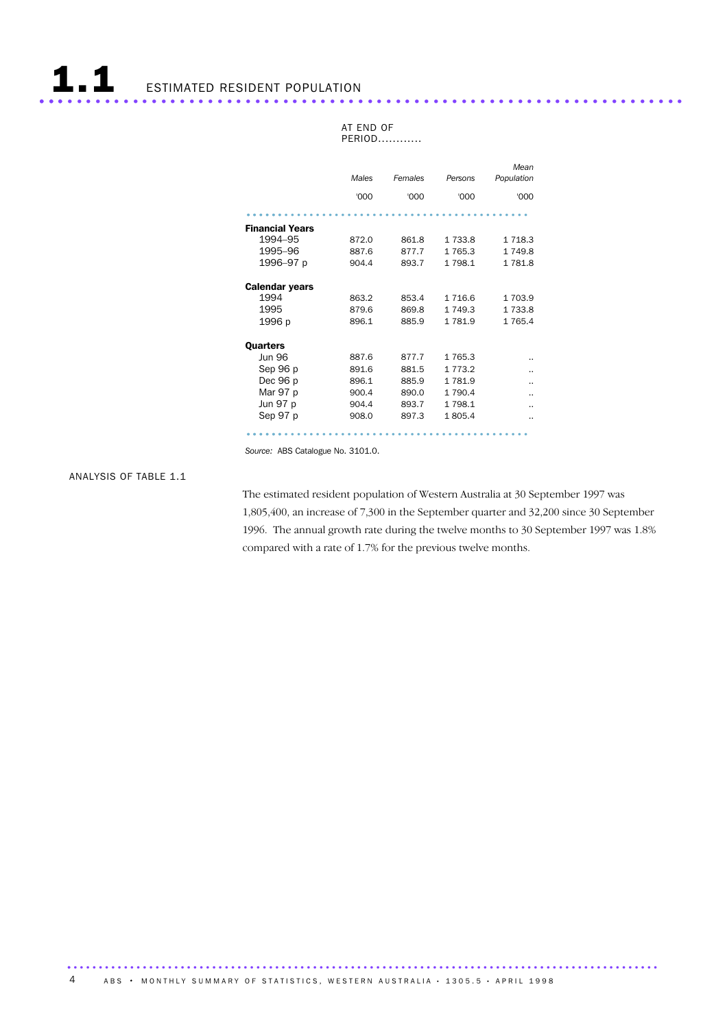|                        | Males | Females | Persons     | Mean<br>Population |
|------------------------|-------|---------|-------------|--------------------|
|                        | '000  | '000    | '000        | '000               |
|                        |       |         |             |                    |
| <b>Financial Years</b> |       |         |             |                    |
| 1994-95                | 872.0 | 861.8   | 1 733.8     | 1 7 1 8.3          |
| 1995-96                | 887.6 | 877.7   | 1 765.3     | 1 749.8            |
| 1996–97 p              | 904.4 | 893.7   | 1 7 9 8 . 1 | 1 781.8            |
| <b>Calendar years</b>  |       |         |             |                    |
| 1994                   | 863.2 | 853.4   | 1 7 1 6 . 6 | 1 703.9            |
| 1995                   | 879.6 | 869.8   | 1 749.3     | 1 7 3 3.8          |
| 1996 p                 | 896.1 | 885.9   | 1 781.9     | 1 7 6 5 . 4        |
| <b>Quarters</b>        |       |         |             |                    |
| <b>Jun 96</b>          | 887.6 | 877.7   | 1 7 6 5 . 3 |                    |
| Sep 96 p               | 891.6 | 881.5   | 1 7 7 3 . 2 |                    |
| Dec 96 p               | 896.1 | 885.9   | 1 781.9     |                    |
| Mar 97 p               | 900.4 | 890.0   | 1 790.4     | $\cdot$            |
| Jun 97 p               | 904.4 | 893.7   | 1 7 9 8 . 1 |                    |
| Sep 97 p               | 908.0 | 897.3   | 1805.4      |                    |
|                        |       |         |             |                    |

AT END OF PERIOD............

*Source:* ABS Catalogue No. 3101.0.

#### ANALYSIS OF TABLE 1.1

The estimated resident population of Western Australia at 30 September 1997 was 1,805,400, an increase of 7,300 in the September quarter and 32,200 since 30 September 1996. The annual growth rate during the twelve months to 30 September 1997 was 1.8% compared with a rate of 1.7% for the previous twelve months.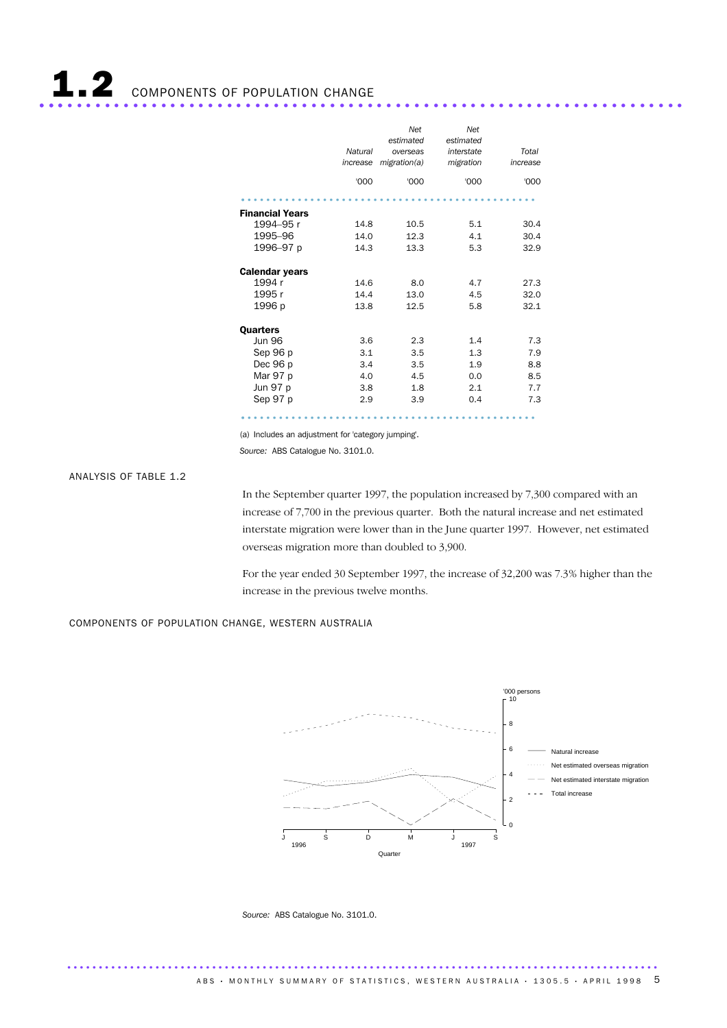|                        | Natural<br>increase | Net<br>estimated<br>overseas<br>migration(a) | Net<br>estimated<br>interstate<br>migration | Total<br>increase |
|------------------------|---------------------|----------------------------------------------|---------------------------------------------|-------------------|
|                        | '000                | '000                                         | '000                                        | '000              |
|                        |                     |                                              |                                             |                   |
| <b>Financial Years</b> |                     |                                              |                                             |                   |
| 1994–95 r              | 14.8                | 10.5                                         | 5.1                                         | 30.4              |
| 1995-96                | 14.0                | 12.3                                         | 4.1                                         | 30.4              |
| 1996-97 p              | 14.3                | 13.3                                         | 5.3                                         | 32.9              |
| <b>Calendar years</b>  |                     |                                              |                                             |                   |
| 1994 r                 | 14.6                | 8.0                                          | 4.7                                         | 27.3              |
| 1995 r                 | 14.4                | 13.0                                         | 4.5                                         | 32.0              |
| 1996 p                 | 13.8                | 12.5                                         | 5.8                                         | 32.1              |
|                        |                     |                                              |                                             |                   |
| Quarters               |                     |                                              |                                             |                   |
| <b>Jun 96</b>          | 3.6                 | 2.3                                          | 1.4                                         | 7.3               |
| Sep 96 p               | 3.1                 | 3.5                                          | 1.3                                         | 7.9               |
| Dec 96 p               | 3.4                 | 3.5                                          | 1.9                                         | 8.8               |
| Mar 97 p               | 4.0                 | 4.5                                          | 0.0                                         | 8.5               |
| Jun 97 p               | 3.8                 | 1.8                                          | 2.1                                         | 7.7               |
| Sep 97 p               | 2.9                 | 3.9                                          | 0.4                                         | 7.3               |
|                        |                     |                                              |                                             |                   |

(a) Includes an adjustment for 'category jumping'.

*Source:* ABS Catalogue No. 3101.0.

#### ANALYSIS OF TABLE 1.2

In the September quarter 1997, the population increased by 7,300 compared with an increase of 7,700 in the previous quarter. Both the natural increase and net estimated interstate migration were lower than in the June quarter 1997. However, net estimated overseas migration more than doubled to 3,900.

For the year ended 30 September 1997, the increase of 32,200 was 7.3% higher than the increase in the previous twelve months.

COMPONENTS OF POPULATION CHANGE, WESTERN AUSTRALIA



*Source:* ABS Catalogue No. 3101.0.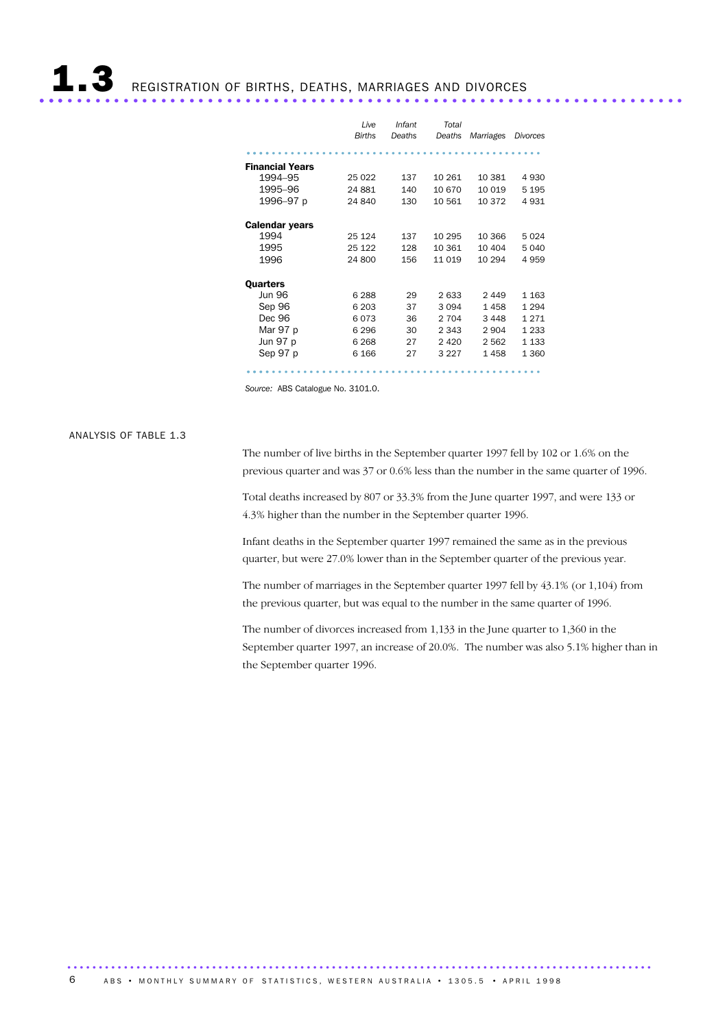|                        | Live<br><b>Births</b> | Infant<br>Deaths | Total<br>Deaths | Marriages | Divorces |
|------------------------|-----------------------|------------------|-----------------|-----------|----------|
|                        |                       |                  |                 |           |          |
| <b>Financial Years</b> |                       |                  |                 |           |          |
| 1994–95                | 25 022                | 137              | 10 261          | 10 381    | 4 9 3 0  |
| 1995-96                | 24 881                | 140              | 10 670          | 10 0 19   | 5 1 9 5  |
| 1996–97 p              | 24 840                | 130              | 10 561          | 10 372    | 4931     |
| <b>Calendar years</b>  |                       |                  |                 |           |          |
| 1994                   | 25 1 24               | 137              | 10 295          | 10 366    | 5024     |
| 1995                   | 25 122                | 128              | 10 361          | 10 404    | 5040     |
| 1996                   | 24 800                | 156              | 11 019          | 10 294    | 4959     |
| <b>Quarters</b>        |                       |                  |                 |           |          |
| <b>Jun 96</b>          | 6 288                 | 29               | 2633            | 2 4 4 9   | 1 1 6 3  |
| Sep 96                 | 6 203                 | 37               | 3094            | 1458      | 1 2 9 4  |
| Dec 96                 | 6073                  | 36               | 2 704           | 3 4 4 8   | 1 2 7 1  |
| Mar 97 p               | 6 2 9 6               | 30               | 2 3 4 3         | 2 904     | 1 2 3 3  |
| Jun 97 p               | 6 2 6 8               | 27               | 2 4 2 0         | 2 5 6 2   | 1 1 3 3  |
| Sep 97 p               | 6 1 6 6               | 27               | 3 2 2 7         | 1458      | 1 360    |
|                        |                       |                  |                 |           |          |

*Source:* ABS Catalogue No. 3101.0.

#### ANALYSIS OF TABLE 1.3

The number of live births in the September quarter 1997 fell by 102 or 1.6% on the previous quarter and was 37 or 0.6% less than the number in the same quarter of 1996.

Total deaths increased by 807 or 33.3% from the June quarter 1997, and were 133 or 4.3% higher than the number in the September quarter 1996.

Infant deaths in the September quarter 1997 remained the same as in the previous quarter, but were 27.0% lower than in the September quarter of the previous year.

The number of marriages in the September quarter 1997 fell by 43.1% (or 1,104) from the previous quarter, but was equal to the number in the same quarter of 1996.

The number of divorces increased from 1,133 in the June quarter to 1,360 in the September quarter 1997, an increase of 20.0%. The number was also 5.1% higher than in the September quarter 1996.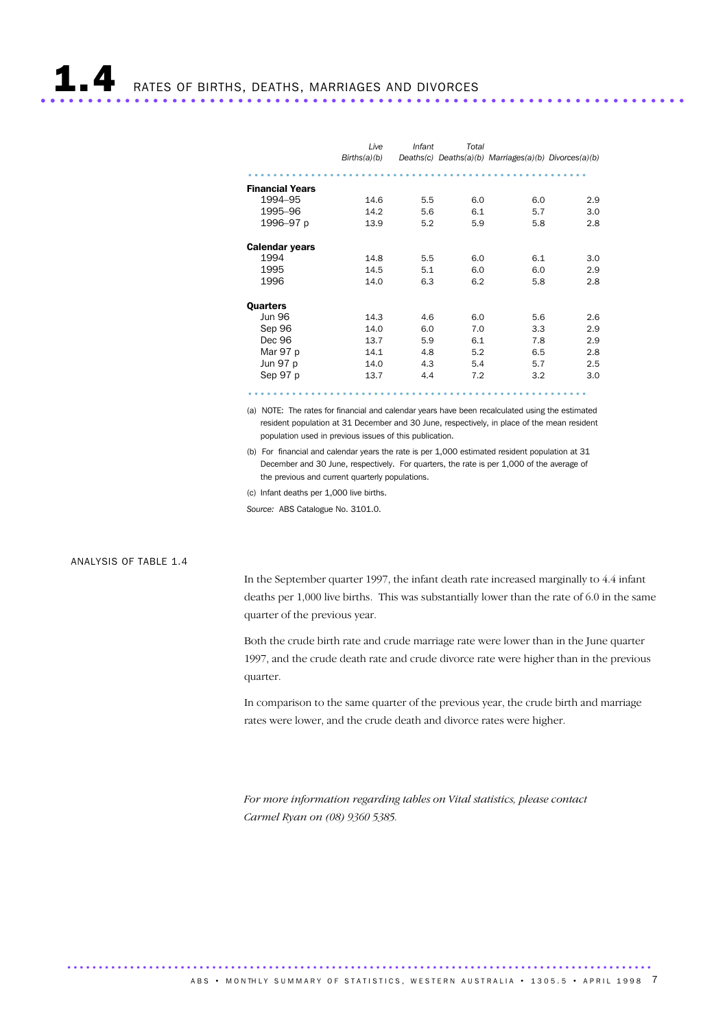**1. 4.** RATES OF BIRTHS, DEATHS, MARRIAGES AND DIVORCES

|                        | Live         | Infant | Total |                                                       |     |
|------------------------|--------------|--------|-------|-------------------------------------------------------|-----|
|                        | Births(a)(b) |        |       | Deaths(c) Deaths(a)(b) Marriages(a)(b) Divorces(a)(b) |     |
| <b>Financial Years</b> |              |        |       |                                                       |     |
| 1994-95                | 14.6         | 5.5    | 6.0   | 6.0                                                   | 2.9 |
| 1995-96                | 14.2         | 5.6    | 6.1   | 5.7                                                   | 3.0 |
| 1996-97 p              | 13.9         | 5.2    | 5.9   | 5.8                                                   | 2.8 |
| <b>Calendar years</b>  |              |        |       |                                                       |     |
| 1994                   | 14.8         | 5.5    | 6.0   | 6.1                                                   | 3.0 |
| 1995                   | 14.5         | 5.1    | 6.0   | 6.0                                                   | 2.9 |
| 1996                   | 14.0         | 6.3    | 6.2   | 5.8                                                   | 2.8 |
| Quarters               |              |        |       |                                                       |     |
| <b>Jun 96</b>          | 14.3         | 4.6    | 6.0   | 5.6                                                   | 2.6 |
| Sep 96                 | 14.0         | 6.0    | 7.0   | 3.3                                                   | 2.9 |
| Dec 96                 | 13.7         | 5.9    | 6.1   | 7.8                                                   | 2.9 |
| Mar 97 p               | 14.1         | 4.8    | 5.2   | 6.5                                                   | 2.8 |
| Jun 97 p               | 14.0         | 4.3    | 5.4   | 5.7                                                   | 2.5 |
| Sep 97 p               | 13.7         | 4.4    | 7.2   | 3.2                                                   | 3.0 |

(a) NOTE: The rates for financial and calendar years have been recalculated using the estimated resident population at 31 December and 30 June, respectively, in place of the mean resident population used in previous issues of this publication.

(b) For financial and calendar years the rate is per 1,000 estimated resident population at 31 December and 30 June, respectively. For quarters, the rate is per 1,000 of the average of the previous and current quarterly populations.

(c) Infant deaths per 1,000 live births.

*Source:* ABS Catalogue No. 3101.0.

#### ANALYSIS OF TABLE 1.4

In the September quarter 1997, the infant death rate increased marginally to 4.4 infant deaths per 1,000 live births. This was substantially lower than the rate of 6.0 in the same quarter of the previous year.

Both the crude birth rate and crude marriage rate were lower than in the June quarter 1997, and the crude death rate and crude divorce rate were higher than in the previous quarter.

In comparison to the same quarter of the previous year, the crude birth and marriage rates were lower, and the crude death and divorce rates were higher.

*For more information regarding tables on Vital statistics, please contact Carmel Ryan on (08) 9360 5385.*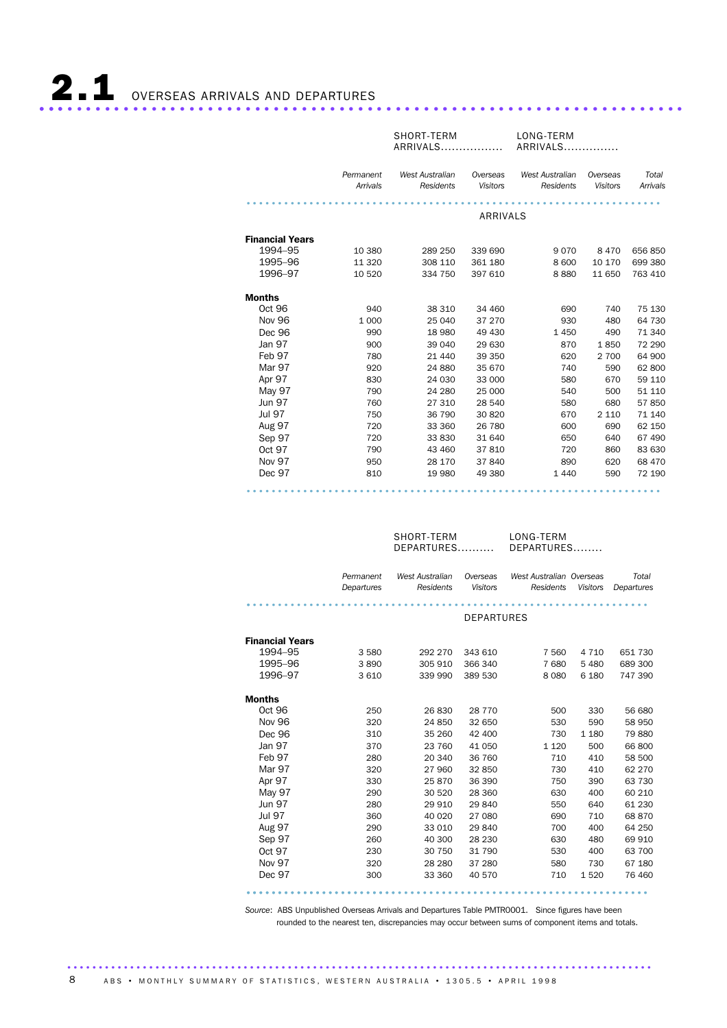|                        |                       | SHORT-TERM<br>ARRIVALS              |                             | LONG-TERM<br>ARRIVALS                      |                             |                   |
|------------------------|-----------------------|-------------------------------------|-----------------------------|--------------------------------------------|-----------------------------|-------------------|
|                        | Permanent<br>Arrivals | <b>West Australian</b><br>Residents | Overseas<br><b>Visitors</b> | <b>West Australian</b><br><b>Residents</b> | Overseas<br><b>Visitors</b> | Total<br>Arrivals |
|                        |                       |                                     |                             |                                            |                             |                   |
|                        |                       |                                     | ARRIVALS                    |                                            |                             |                   |
| <b>Financial Years</b> |                       |                                     |                             |                                            |                             |                   |
| 1994-95                | 10 380                | 289 250                             | 339 690                     | 9070                                       | 8470                        | 656 850           |
| 1995-96                | 11 3 20               | 308 110                             | 361 180                     | 8 600                                      | 10 170                      | 699 380           |
| 1996-97                | 10 520                | 334 750                             | 397 610                     | 8880                                       | 11 650                      | 763 410           |
| <b>Months</b>          |                       |                                     |                             |                                            |                             |                   |
| Oct 96                 | 940                   | 38 310                              | 34 460                      | 690                                        | 740                         | 75 130            |
| Nov 96                 | 1 0 0 0               | 25 040                              | 37 270                      | 930                                        | 480                         | 64 730            |
| Dec 96                 | 990                   | 18 980                              | 49 430                      | 1450                                       | 490                         | 71 340            |
| Jan 97                 | 900                   | 39 040                              | 29 630                      | 870                                        | 1850                        | 72 290            |
| Feb 97                 | 780                   | 21 440                              | 39 350                      | 620                                        | 2 700                       | 64 900            |
| Mar 97                 | 920                   | 24 880                              | 35 670                      | 740                                        | 590                         | 62 800            |
| Apr 97                 | 830                   | 24 030                              | 33 000                      | 580                                        | 670                         | 59 110            |
| May 97                 | 790                   | 24 280                              | 25 000                      | 540                                        | 500                         | 51 110            |
| <b>Jun 97</b>          | 760                   | 27 310                              | 28 540                      | 580                                        | 680                         | 57 850            |
| Jul 97                 | 750                   | 36 790                              | 30 820                      | 670                                        | 2 1 1 0                     | 71 140            |
| <b>Aug 97</b>          | 720                   | 33 360                              | 26 780                      | 600                                        | 690                         | 62 150            |
| Sep 97                 | 720                   | 33 830                              | 31 640                      | 650                                        | 640                         | 67 490            |
| Oct 97                 | 790                   | 43 460                              | 37810                       | 720                                        | 860                         | 83 630            |
| Nov 97                 | 950                   | 28 170                              | 37840                       | 890                                        | 620                         | 68 470            |
| Dec 97                 | 810                   | 19 980                              | 49 380                      | 1 4 4 0                                    | 590                         | 72 190            |
|                        |                       |                                     |                             |                                            |                             |                   |

|                        |                         | SHORT-TERM<br>DEPARTURES            |                             | LONG-TERM<br>DEPARTURES               |                 |                     |
|------------------------|-------------------------|-------------------------------------|-----------------------------|---------------------------------------|-----------------|---------------------|
|                        | Permanent<br>Departures | <b>West Australian</b><br>Residents | Overseas<br><b>Visitors</b> | West Australian Overseas<br>Residents | <b>Visitors</b> | Total<br>Departures |
|                        |                         |                                     | <b>DEPARTURES</b>           |                                       |                 |                     |
| <b>Financial Years</b> |                         |                                     |                             |                                       |                 |                     |
| 1994-95                | 3580                    | 292 270                             | 343 610                     | 7 5 6 0                               | 4 7 1 0         | 651 730             |
| 1995-96                | 3890                    | 305 910                             | 366 340                     | 7680                                  | 5 4 8 0         | 689 300             |
| 1996-97                | 3 6 1 0                 | 339 990                             | 389 530                     | 8 0 8 0                               | 6 180           | 747 390             |
| <b>Months</b>          |                         |                                     |                             |                                       |                 |                     |
| <b>Oct 96</b>          | 250                     | 26 830                              | 28 7 7 0                    | 500                                   | 330             | 56 680              |
| <b>Nov 96</b>          | 320                     | 24 850                              | 32 650                      | 530                                   | 590             | 58 950              |
| Dec 96                 | 310                     | 35 260                              | 42 400                      | 730                                   | 1 1 8 0         | 79880               |
| Jan 97                 | 370                     | 23 760                              | 41 050                      | 1 1 2 0                               | 500             | 66 800              |
| Feb 97                 | 280                     | 20 340                              | 36 760                      | 710                                   | 410             | 58 500              |
| Mar 97                 | 320                     | 27 960                              | 32 850                      | 730                                   | 410             | 62 270              |
| Apr 97                 | 330                     | 25 870                              | 36 390                      | 750                                   | 390             | 63 730              |
| May 97                 | 290                     | 30 520                              | 28 360                      | 630                                   | 400             | 60 210              |
| <b>Jun 97</b>          | 280                     | 29 910                              | 29 840                      | 550                                   | 640             | 61 230              |
| <b>Jul 97</b>          | 360                     | 40 0 20                             | 27 080                      | 690                                   | 710             | 68 870              |
| <b>Aug 97</b>          | 290                     | 33 010                              | 29 840                      | 700                                   | 400             | 64 250              |
| Sep 97                 | 260                     | 40 300                              | 28 2 30                     | 630                                   | 480             | 69 910              |
| Oct 97                 | 230                     | 30 750                              | 31 790                      | 530                                   | 400             | 63 700              |
| <b>Nov 97</b>          | 320                     | 28 2 8 0                            | 37 280                      | 580                                   | 730             | 67 180              |
| Dec 97                 | 300                     | 33 360                              | 40 570                      | 710                                   | 1520            | 76 460              |

................................................................ ........................

*Source*: ABS Unpublished Overseas Arrivals and Departures Table PMTR0001. Since figures have been rounded to the nearest ten, discrepancies may occur between sums of component items and totals.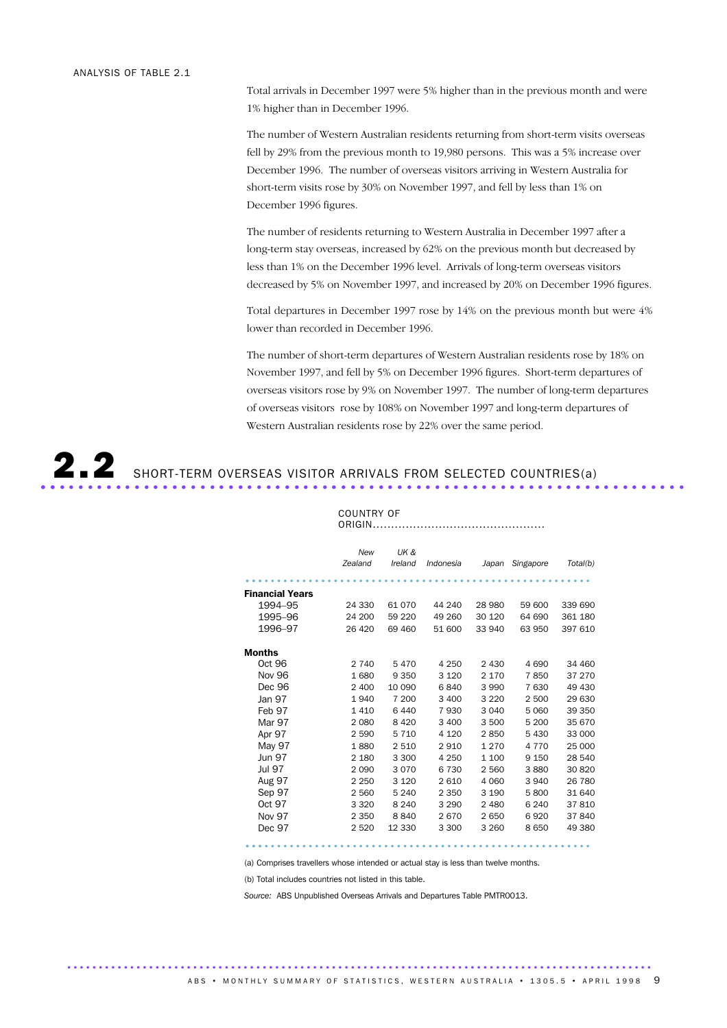#### ANALYSIS OF TABLE 2.1

Total arrivals in December 1997 were 5% higher than in the previous month and were 1% higher than in December 1996.

The number of Western Australian residents returning from short-term visits overseas fell by 29% from the previous month to 19,980 persons. This was a 5% increase over December 1996. The number of overseas visitors arriving in Western Australia for short-term visits rose by 30% on November 1997, and fell by less than 1% on December 1996 figures.

The number of residents returning to Western Australia in December 1997 after a long-term stay overseas, increased by 62% on the previous month but decreased by less than 1% on the December 1996 level. Arrivals of long-term overseas visitors decreased by 5% on November 1997, and increased by 20% on December 1996 figures.

Total departures in December 1997 rose by 14% on the previous month but were 4% lower than recorded in December 1996.

The number of short-term departures of Western Australian residents rose by 18% on November 1997, and fell by 5% on December 1996 figures. Short-term departures of overseas visitors rose by 9% on November 1997. The number of long-term departures of overseas visitors rose by 108% on November 1997 and long-term departures of Western Australian residents rose by 22% over the same period.

# 2.2 SHORT-TERM OVERSEAS VISITOR ARRIVALS FROM SELECTED COUNTRIES(a)

#### COUNTRY OF ORIGIN...............................................

*New Zealand UK & Ireland Indonesia Japan Singapore Total(b)* ....................................................... ... Financial Years<br>1994–95 1994–95 24 330 61 070 44 240 28 980 59 600 339 690 1995–96 24 200 59 220 49 260 30 120 64 690 361 180 1996–97 26 420 69 460 51 600 33 940 63 950 397 610 Months<br>Oct 96 0ct 96 2 740 5 470 4 250 2 430 4 690 34 460<br>Nov 96 1 680 9 350 3 120 2 170 7 850 37 270 9 350 3 120 2 170 7 850<br>10 090 6 840 3990 7 630 Dec 96 2 400 10 090 6 840 3 990 7 630 49 430 Jan 97 1 940 7 200 3 400 3 220 2 500 29 630 Feb 97 1 410 6 440 7 930 3 040 5 060 39 350 Mar 97 2080 8420 3400 3500 5200 35670 Apr 97 2 590 5 710 4 120 2 850 5 430 33 000<br>May 97 2 590 5 710 4 120 2 850 5 430 33 000 May 97 1880 2 510 2 910 1 270 4 770 25 000 Jun 97 2 180 3 300 4 250 1 100 9 150 28 540 Jul 97 2 090 3 070 6 730 2 560 3 880 30 820 Aug 97 2 250 3 120 2 610 4 060 3 940 26 780 Sep 97 2 560 5 240 2 350 3 190 5 800 31 640 Oct 97 3 320 8 240 3 290 2 480 6 240 37 810 Nov 97 2 350 8 840 2 670 2 650 6 920 37 840 Dec 97 2 520 12 330 3 300 3 260 8 650 49 380

....................................................... ...

(a) Comprises travellers whose intended or actual stay is less than twelve months.

(b) Total includes countries not listed in this table.

*Source:* ABS Unpublished Overseas Arrivals and Departures Table PMTR0013.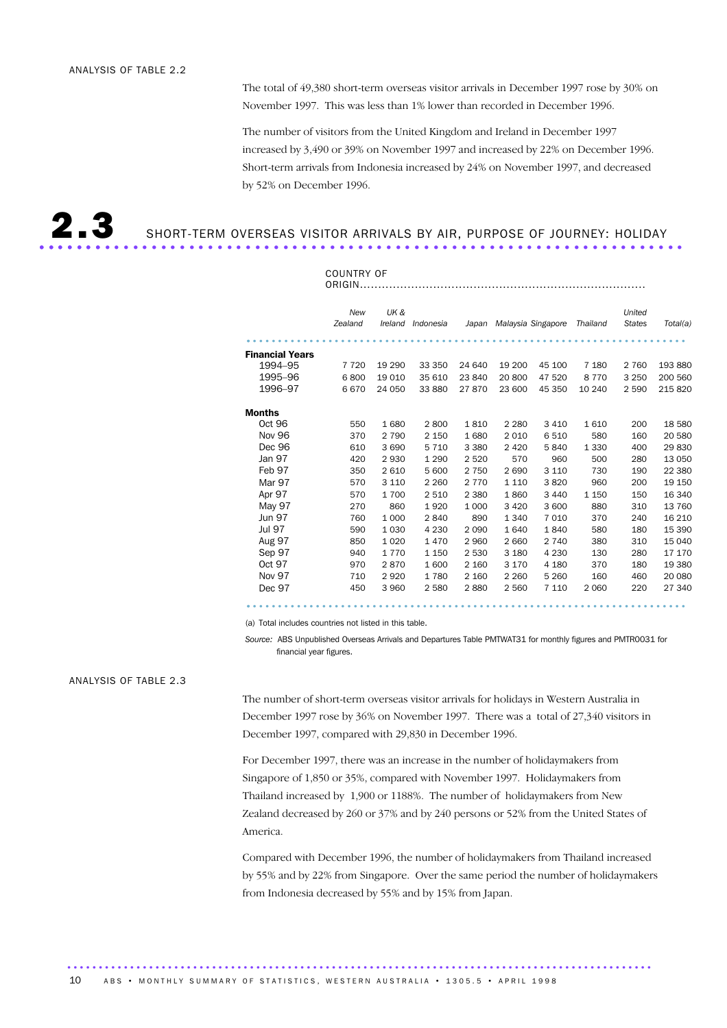The total of 49,380 short-term overseas visitor arrivals in December 1997 rose by 30% on November 1997. This was less than 1% lower than recorded in December 1996.

The number of visitors from the United Kingdom and Ireland in December 1997 increased by 3,490 or 39% on November 1997 and increased by 22% on December 1996. Short-term arrivals from Indonesia increased by 24% on November 1997, and decreased by 52% on December 1996.

# **2.3** SHORT-TERM OVERSEAS VISITOR ARRIVALS BY AIR, PURPOSE OF JOURNEY: HOLIDAY

#### COUNTRY OF ORIGIN..............................................................................

|                        | New<br>Zealand | UK&<br>Ireland | Indonesia | Japan   |         | Malaysia Singapore | Thailand | United<br><b>States</b> | Total(a) |
|------------------------|----------------|----------------|-----------|---------|---------|--------------------|----------|-------------------------|----------|
|                        |                |                |           |         |         |                    |          |                         |          |
| <b>Financial Years</b> |                |                |           |         |         |                    |          |                         |          |
| 1994-95                | 7 7 2 0        | 19 290         | 33 350    | 24 640  | 19 200  | 45 100             | 7 1 8 0  | 2 7 6 0                 | 193 880  |
| 1995-96                | 6800           | 19 0 10        | 35 610    | 23 840  | 20 800  | 47 520             | 8 7 7 0  | 3 2 5 0                 | 200 560  |
| 1996-97                | 6670           | 24 050         | 33 880    | 27870   | 23 600  | 45 350             | 10 240   | 2 5 9 0                 | 215 820  |
| Months                 |                |                |           |         |         |                    |          |                         |          |
| <b>Oct 96</b>          | 550            | 1680           | 2800      | 1810    | 2 2 8 0 | 3 4 1 0            | 1610     | 200                     | 18 580   |
| <b>Nov 96</b>          | 370            | 2 7 9 0        | 2 150     | 1680    | 2 0 1 0 | 6510               | 580      | 160                     | 20 580   |
| Dec 96                 | 610            | 3690           | 5 7 1 0   | 3 3 8 0 | 2 4 2 0 | 5840               | 1 3 3 0  | 400                     | 29 830   |
| Jan 97                 | 420            | 2930           | 1 2 9 0   | 2 5 2 0 | 570     | 960                | 500      | 280                     | 13 0 50  |
| Feb 97                 | 350            | 2610           | 5 600     | 2 7 5 0 | 2690    | 3 1 1 0            | 730      | 190                     | 22 380   |
| Mar 97                 | 570            | 3 1 1 0        | 2 2 6 0   | 2 7 7 0 | 1 1 1 0 | 3820               | 960      | 200                     | 19 150   |
| Apr 97                 | 570            | 1700           | 2 5 1 0   | 2 3 8 0 | 1860    | 3 4 4 0            | 1 1 5 0  | 150                     | 16 340   |
| May 97                 | 270            | 860            | 1920      | 1 0 0 0 | 3 4 2 0 | 3 600              | 880      | 310                     | 13 760   |
| <b>Jun 97</b>          | 760            | 1 0 0 0        | 2840      | 890     | 1 3 4 0 | 7 0 1 0            | 370      | 240                     | 16 210   |
| <b>Jul 97</b>          | 590            | 1 0 3 0        | 4 2 3 0   | 2090    | 1640    | 1840               | 580      | 180                     | 15 390   |
| <b>Aug 97</b>          | 850            | 1 0 2 0        | 1470      | 2960    | 2 6 6 0 | 2 7 4 0            | 380      | 310                     | 15 040   |
| Sep 97                 | 940            | 1 7 7 0        | 1 1 5 0   | 2 5 3 0 | 3 1 8 0 | 4 2 3 0            | 130      | 280                     | 17 170   |
| Oct 97                 | 970            | 2870           | 1 600     | 2 1 6 0 | 3 1 7 0 | 4 1 8 0            | 370      | 180                     | 19 380   |
| <b>Nov 97</b>          | 710            | 2920           | 1780      | 2 1 6 0 | 2 2 6 0 | 5 2 6 0            | 160      | 460                     | 20 080   |
| Dec 97                 | 450            | 3 9 6 0        | 2 5 8 0   | 2880    | 2 5 6 0 | 7 1 1 0            | 2 0 6 0  | 220                     | 27 340   |
|                        |                |                |           |         |         |                    |          |                         |          |

(a) Total includes countries not listed in this table.

*Source:* ABS Unpublished Overseas Arrivals and Departures Table PMTWAT31 for monthly figures and PMTR0031 for financial year figures.

#### ANALYSIS OF TABLE 2.3

The number of short-term overseas visitor arrivals for holidays in Western Australia in December 1997 rose by 36% on November 1997. There was a total of 27,340 visitors in December 1997, compared with 29,830 in December 1996.

For December 1997, there was an increase in the number of holidaymakers from Singapore of 1,850 or 35%, compared with November 1997. Holidaymakers from Thailand increased by 1,900 or 1188%. The number of holidaymakers from New Zealand decreased by 260 or 37% and by 240 persons or 52% from the United States of America.

Compared with December 1996, the number of holidaymakers from Thailand increased by 55% and by 22% from Singapore. Over the same period the number of holidaymakers from Indonesia decreased by 55% and by 15% from Japan.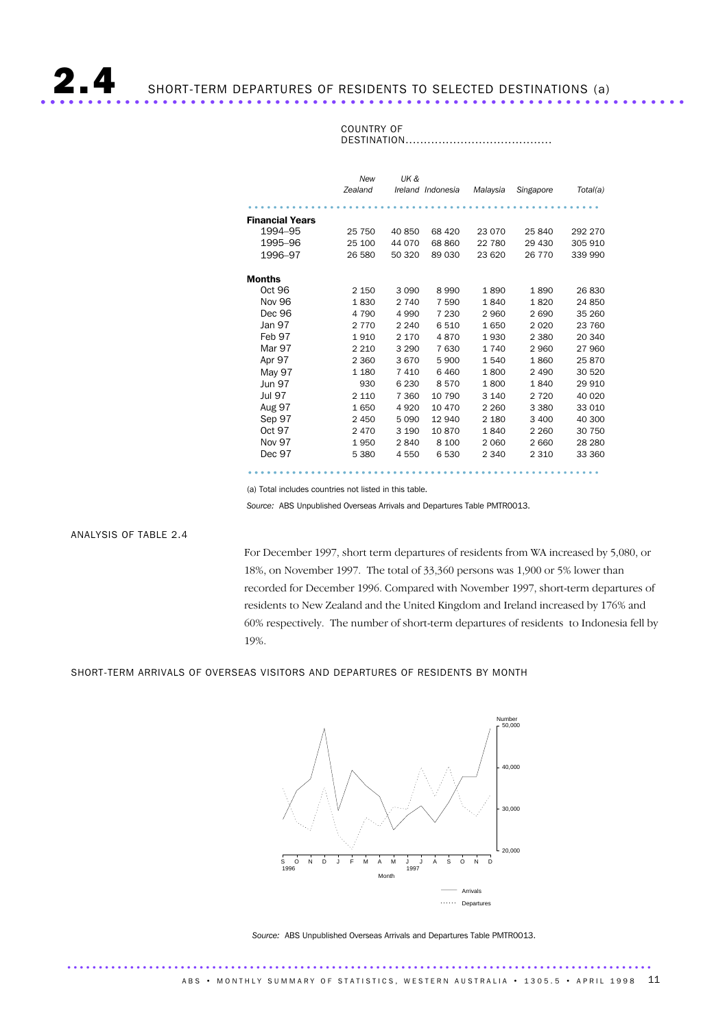#### COUNTRY OF DESTINATION........................................

| <b>Financial Years</b><br>1994-95<br>25 750<br>40 850<br>68 4 20<br>25 840<br>292 270<br>23 0 70<br>1995-96<br>25 100<br>44 070<br>68 860<br>22 780<br>29 430<br>305 910<br>1996-97<br>26 580<br>50 320<br>89 030<br>23 620<br>26 770<br>339 990<br><b>Months</b><br>Oct 96<br>3 0 9 0<br>8990<br>1890<br>1890<br>26830<br>2 1 5 0<br><b>Nov 96</b><br>7 5 9 0<br>1840<br>1830<br>2 740<br>1820<br>24 850<br>Dec 96<br>2690<br>35 260<br>4 7 9 0<br>4 9 9 0<br>7 2 3 0<br>2960<br>Jan 97<br>6 5 1 0<br>2 7 7 0<br>2 2 4 0<br>1650<br>2 0 2 0<br>23 760<br>Feb 97<br>1910<br>2 1 7 0<br>4870<br>1930<br>2 3 8 0<br>20 340<br>Mar 97<br>2 2 1 0<br>3 2 9 0<br>7630<br>1740<br>2960<br>27 960<br>Apr 97<br>5 900<br>2 3 6 0<br>3670<br>1540<br>1860<br>25870<br>6460<br>May 97<br>1 1 8 0<br>7410<br>1800<br>2 4 9 0<br>30 520<br><b>Jun 97</b><br>6 2 3 0<br>8570<br>1800<br>1840<br>29 910<br>930<br><b>Jul 97</b><br>7 3 6 0<br>10 790<br>2 7 2 0<br>40 0 20<br>2 1 1 0<br>3 1 4 0<br>Aug 97<br>1650<br>4 9 20<br>10 470<br>2 2 6 0<br>3 3 8 0<br>33 010<br>Sep 97<br>2 4 5 0<br>5 0 9 0<br>12 940<br>2 1 8 0<br>3 4 0 0<br>40 300 | New<br>Zealand | UK& | Ireland Indonesia | Malaysia | Singapore | Total(a) |
|------------------------------------------------------------------------------------------------------------------------------------------------------------------------------------------------------------------------------------------------------------------------------------------------------------------------------------------------------------------------------------------------------------------------------------------------------------------------------------------------------------------------------------------------------------------------------------------------------------------------------------------------------------------------------------------------------------------------------------------------------------------------------------------------------------------------------------------------------------------------------------------------------------------------------------------------------------------------------------------------------------------------------------------------------------------------------------------------------------------------------------|----------------|-----|-------------------|----------|-----------|----------|
|                                                                                                                                                                                                                                                                                                                                                                                                                                                                                                                                                                                                                                                                                                                                                                                                                                                                                                                                                                                                                                                                                                                                    |                |     |                   |          |           |          |
|                                                                                                                                                                                                                                                                                                                                                                                                                                                                                                                                                                                                                                                                                                                                                                                                                                                                                                                                                                                                                                                                                                                                    |                |     |                   |          |           |          |
|                                                                                                                                                                                                                                                                                                                                                                                                                                                                                                                                                                                                                                                                                                                                                                                                                                                                                                                                                                                                                                                                                                                                    |                |     |                   |          |           |          |
|                                                                                                                                                                                                                                                                                                                                                                                                                                                                                                                                                                                                                                                                                                                                                                                                                                                                                                                                                                                                                                                                                                                                    |                |     |                   |          |           |          |
|                                                                                                                                                                                                                                                                                                                                                                                                                                                                                                                                                                                                                                                                                                                                                                                                                                                                                                                                                                                                                                                                                                                                    |                |     |                   |          |           |          |
|                                                                                                                                                                                                                                                                                                                                                                                                                                                                                                                                                                                                                                                                                                                                                                                                                                                                                                                                                                                                                                                                                                                                    |                |     |                   |          |           |          |
|                                                                                                                                                                                                                                                                                                                                                                                                                                                                                                                                                                                                                                                                                                                                                                                                                                                                                                                                                                                                                                                                                                                                    |                |     |                   |          |           |          |
|                                                                                                                                                                                                                                                                                                                                                                                                                                                                                                                                                                                                                                                                                                                                                                                                                                                                                                                                                                                                                                                                                                                                    |                |     |                   |          |           |          |
|                                                                                                                                                                                                                                                                                                                                                                                                                                                                                                                                                                                                                                                                                                                                                                                                                                                                                                                                                                                                                                                                                                                                    |                |     |                   |          |           |          |
|                                                                                                                                                                                                                                                                                                                                                                                                                                                                                                                                                                                                                                                                                                                                                                                                                                                                                                                                                                                                                                                                                                                                    |                |     |                   |          |           |          |
|                                                                                                                                                                                                                                                                                                                                                                                                                                                                                                                                                                                                                                                                                                                                                                                                                                                                                                                                                                                                                                                                                                                                    |                |     |                   |          |           |          |
|                                                                                                                                                                                                                                                                                                                                                                                                                                                                                                                                                                                                                                                                                                                                                                                                                                                                                                                                                                                                                                                                                                                                    |                |     |                   |          |           |          |
|                                                                                                                                                                                                                                                                                                                                                                                                                                                                                                                                                                                                                                                                                                                                                                                                                                                                                                                                                                                                                                                                                                                                    |                |     |                   |          |           |          |
|                                                                                                                                                                                                                                                                                                                                                                                                                                                                                                                                                                                                                                                                                                                                                                                                                                                                                                                                                                                                                                                                                                                                    |                |     |                   |          |           |          |
|                                                                                                                                                                                                                                                                                                                                                                                                                                                                                                                                                                                                                                                                                                                                                                                                                                                                                                                                                                                                                                                                                                                                    |                |     |                   |          |           |          |
|                                                                                                                                                                                                                                                                                                                                                                                                                                                                                                                                                                                                                                                                                                                                                                                                                                                                                                                                                                                                                                                                                                                                    |                |     |                   |          |           |          |
|                                                                                                                                                                                                                                                                                                                                                                                                                                                                                                                                                                                                                                                                                                                                                                                                                                                                                                                                                                                                                                                                                                                                    |                |     |                   |          |           |          |
|                                                                                                                                                                                                                                                                                                                                                                                                                                                                                                                                                                                                                                                                                                                                                                                                                                                                                                                                                                                                                                                                                                                                    |                |     |                   |          |           |          |
| Oct 97<br>2 4 7 0<br>3 1 9 0<br>10870<br>2 2 6 0<br>30 750<br>1840                                                                                                                                                                                                                                                                                                                                                                                                                                                                                                                                                                                                                                                                                                                                                                                                                                                                                                                                                                                                                                                                 |                |     |                   |          |           |          |
| <b>Nov 97</b><br>8 1 0 0<br>1950<br>2840<br>2 0 6 0<br>2660<br>28 2 8 0                                                                                                                                                                                                                                                                                                                                                                                                                                                                                                                                                                                                                                                                                                                                                                                                                                                                                                                                                                                                                                                            |                |     |                   |          |           |          |
| Dec 97<br>4 5 5 0<br>6530<br>2 3 4 0<br>33 360<br>5 3 8 0<br>2 3 1 0                                                                                                                                                                                                                                                                                                                                                                                                                                                                                                                                                                                                                                                                                                                                                                                                                                                                                                                                                                                                                                                               |                |     |                   |          |           |          |

........................................................ ........................................

(a) Total includes countries not listed in this table.

*Source:* ABS Unpublished Overseas Arrivals and Departures Table PMTR0013.

ANALYSIS OF TABLE 2.4

For December 1997, short term departures of residents from WA increased by 5,080, or 18%, on November 1997. The total of 33,360 persons was 1,900 or 5% lower than recorded for December 1996. Compared with November 1997, short-term departures of residents to New Zealand and the United Kingdom and Ireland increased by 176% and 60% respectively. The number of short-term departures of residents to Indonesia fell by 19%.

SHORT-TERM ARRIVALS OF OVERSEAS VISITORS AND DEPARTURES OF RESIDENTS BY MONTH



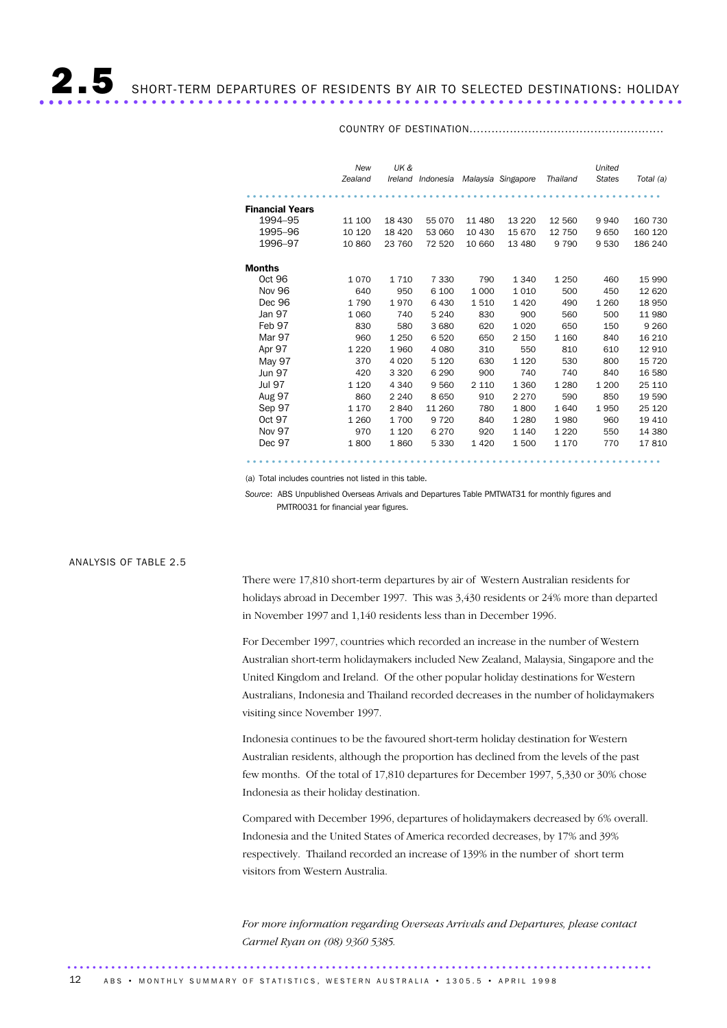#### COUNTRY OF DESTINATION.....................................................

|                        | New<br>Zealand | UK&     | Ireland Indonesia |         | Malaysia Singapore | Thailand | United<br><b>States</b> | Total (a) |
|------------------------|----------------|---------|-------------------|---------|--------------------|----------|-------------------------|-----------|
| <b>Financial Years</b> |                |         |                   |         |                    |          |                         |           |
| 1994-95                | 11 100         | 18 4 30 | 55 0 70           | 11 480  | 13 2 20            | 12 560   | 9940                    | 160 730   |
| 1995-96                | 10 120         | 18 4 20 | 53 060            | 10 430  | 15 670             | 12 750   | 9650                    | 160 120   |
| 1996-97                | 10 860         | 23 760  | 72 520            | 10 660  | 13 480             | 9 7 9 0  | 9530                    | 186 240   |
| Months                 |                |         |                   |         |                    |          |                         |           |
| Oct 96                 | 1070           | 1 7 1 0 | 7 3 3 0           | 790     | 1 3 4 0            | 1 2 5 0  | 460                     | 15 990    |
| <b>Nov 96</b>          | 640            | 950     | 6 100             | 1 0 0 0 | 1010               | 500      | 450                     | 12 6 20   |
| Dec 96                 | 1790           | 1970    | 6430              | 1510    | 1420               | 490      | 1 2 6 0                 | 18 950    |
| Jan 97                 | 1 0 6 0        | 740     | 5 2 4 0           | 830     | 900                | 560      | 500                     | 11 980    |
| Feb 97                 | 830            | 580     | 3 6 8 0           | 620     | 1 0 2 0            | 650      | 150                     | 9 2 6 0   |
| Mar 97                 | 960            | 1 2 5 0 | 6 5 20            | 650     | 2 1 5 0            | 1 1 6 0  | 840                     | 16 210    |
| Apr 97                 | 1 2 2 0        | 1960    | 4 0 8 0           | 310     | 550                | 810      | 610                     | 12 910    |
| May 97                 | 370            | 4 0 2 0 | 5 1 2 0           | 630     | 1 1 2 0            | 530      | 800                     | 15 7 20   |
| <b>Jun 97</b>          | 420            | 3 3 2 0 | 6 2 9 0           | 900     | 740                | 740      | 840                     | 16 580    |
| <b>Jul 97</b>          | 1 1 2 0        | 4 3 4 0 | 9 5 6 0           | 2 1 1 0 | 1 3 6 0            | 1 2 8 0  | 1 200                   | 25 110    |
| <b>Aug 97</b>          | 860            | 2 2 4 0 | 8650              | 910     | 2 2 7 0            | 590      | 850                     | 19 590    |
| Sep 97                 | 1 1 7 0        | 2840    | 11 260            | 780     | 1800               | 1640     | 1950                    | 25 1 20   |
| Oct 97                 | 1 2 6 0        | 1700    | 9 7 2 0           | 840     | 1 2 8 0            | 1980     | 960                     | 19 410    |
| Nov 97                 | 970            | 1 1 2 0 | 6 2 7 0           | 920     | 1 1 4 0            | 1 2 2 0  | 550                     | 14 380    |
| Dec 97                 | 1800           | 1860    | 5 3 3 0           | 1420    | 1500               | 1 1 7 0  | 770                     | 17810     |
|                        |                |         |                   |         |                    |          |                         |           |

(a) Total includes countries not listed in this table.

*Source*: ABS Unpublished Overseas Arrivals and Departures Table PMTWAT31 for monthly figures and PMTR0031 for financial year figures.

#### ANALYSIS OF TABLE 2.5

There were 17,810 short-term departures by air of Western Australian residents for holidays abroad in December 1997. This was 3,430 residents or 24% more than departed in November 1997 and 1,140 residents less than in December 1996.

For December 1997, countries which recorded an increase in the number of Western Australian short-term holidaymakers included New Zealand, Malaysia, Singapore and the United Kingdom and Ireland. Of the other popular holiday destinations for Western Australians, Indonesia and Thailand recorded decreases in the number of holidaymakers visiting since November 1997.

Indonesia continues to be the favoured short-term holiday destination for Western Australian residents, although the proportion has declined from the levels of the past few months. Of the total of 17,810 departures for December 1997, 5,330 or 30% chose Indonesia as their holiday destination.

Compared with December 1996, departures of holidaymakers decreased by 6% overall. Indonesia and the United States of America recorded decreases, by 17% and 39% respectively. Thailand recorded an increase of 139% in the number of short term visitors from Western Australia.

*For more information regarding Overseas Arrivals and Departures, please contact Carmel Ryan on (08) 9360 5385.*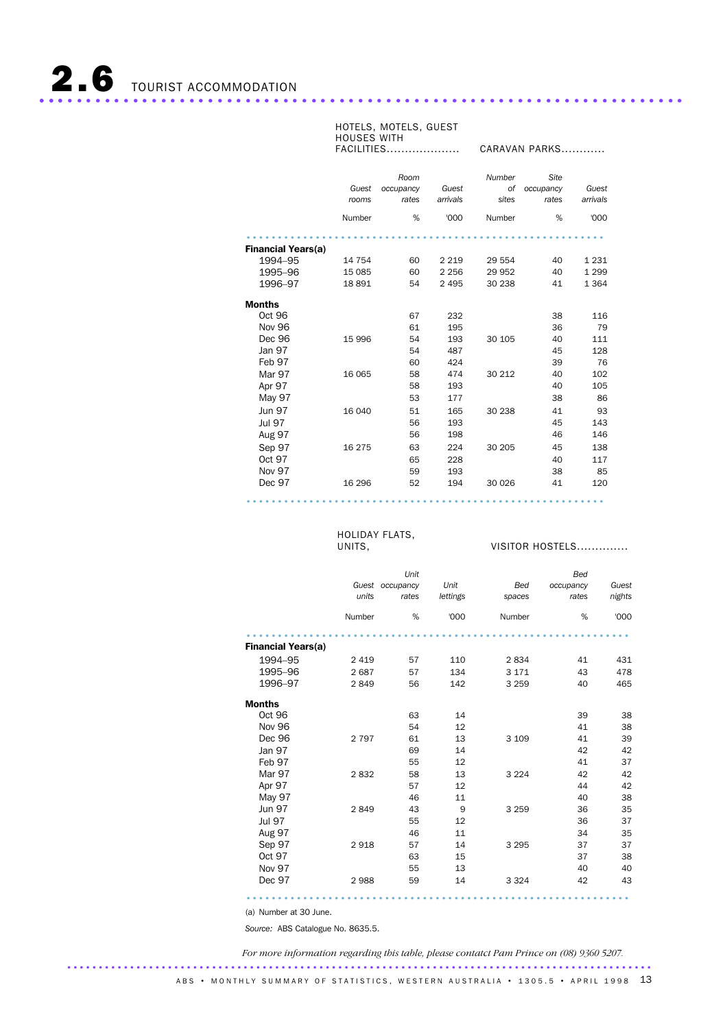#### HOTELS, MOTELS, GUEST HOUSES WITH

FACILITIES.................... CARAVAN PARKS............

|                                      | Guest<br>rooms | Room<br>occupancy<br>rates | Guest<br>arrivals | Number<br>оf<br>sites | Site<br>occupancy<br>rates | Guest<br>arrivals |
|--------------------------------------|----------------|----------------------------|-------------------|-----------------------|----------------------------|-------------------|
|                                      | Number         | %                          | '000              | Number                | %                          | '000              |
|                                      |                |                            |                   |                       |                            |                   |
| <b>Financial Years(a)</b><br>1994-95 | 14 754         | 60                         | 2 2 1 9           | 29 554                | 40                         | 1 2 3 1           |
| 1995-96                              | 15 085         | 60                         | 2 2 5 6           | 29 952                | 40                         | 1 2 9 9           |
| 1996-97                              | 18891          | 54                         | 2 4 9 5           | 30 238                | 41                         | 1 3 6 4           |
| <b>Months</b>                        |                |                            |                   |                       |                            |                   |
| Oct 96                               |                | 67                         | 232               |                       | 38                         | 116               |
| Nov 96                               |                | 61                         | 195               |                       | 36                         | 79                |
| Dec 96                               | 15 996         | 54                         | 193               | 30 105                | 40                         | 111               |
| Jan 97                               |                | 54                         | 487               |                       | 45                         | 128               |
| Feb 97                               |                | 60                         | 424               |                       | 39                         | 76                |
| Mar 97                               | 16 065         | 58                         | 474               | 30 212                | 40                         | 102               |
| Apr 97                               |                | 58                         | 193               |                       | 40                         | 105               |
| May 97                               |                | 53                         | 177               |                       | 38                         | 86                |
| <b>Jun 97</b>                        | 16 040         | 51                         | 165               | 30 238                | 41                         | 93                |
| <b>Jul 97</b>                        |                | 56                         | 193               |                       | 45                         | 143               |
| Aug 97                               |                | 56                         | 198               |                       | 46                         | 146               |
| Sep 97                               | 16 275         | 63                         | 224               | 30 205                | 45                         | 138               |
| Oct 97                               |                | 65                         | 228               |                       | 40                         | 117               |
| Nov 97                               |                | 59                         | 193               |                       | 38                         | 85                |
| Dec 97                               | 16 29 6        | 52                         | 194               | 30 0 26               | 41                         | 120               |

.........................................................

# HOLIDAY FLATS,

#### **VISITOR HOSTELS..............**

|                           | units<br>Number | Unit<br>Guest occupancy<br>rates<br>% | Unit<br>lettings<br>'000 | Bed<br>spaces<br>Number | Bed<br>occupancy<br>rates<br>% | Guest<br>nights<br>'000 |
|---------------------------|-----------------|---------------------------------------|--------------------------|-------------------------|--------------------------------|-------------------------|
|                           |                 |                                       |                          |                         |                                |                         |
| <b>Financial Years(a)</b> |                 |                                       |                          |                         |                                |                         |
| 1994-95                   | 2 4 1 9         | 57                                    | 110                      | 2834                    | 41                             | 431                     |
| 1995-96                   | 2687            | 57                                    | 134                      | 3 1 7 1                 | 43                             | 478                     |
| 1996-97                   | 2849            | 56                                    | 142                      | 3 2 5 9                 | 40                             | 465                     |
| <b>Months</b>             |                 |                                       |                          |                         |                                |                         |
| Oct 96                    |                 | 63                                    | 14                       |                         | 39                             | 38                      |
| Nov 96                    |                 | 54                                    | 12                       |                         | 41                             | 38                      |
| Dec 96                    | 2 7 9 7         | 61                                    | 13                       | 3 1 0 9                 | 41                             | 39                      |
| Jan 97                    |                 | 69                                    | 14                       |                         | 42                             | 42                      |
| Feb 97                    |                 | 55                                    | 12                       |                         | 41                             | 37                      |
| Mar 97                    | 2832            | 58                                    | 13                       | 3 2 2 4                 | 42                             | 42                      |
| Apr 97                    |                 | 57                                    | 12                       |                         | 44                             | 42                      |
| May 97                    |                 | 46                                    | 11                       |                         | 40                             | 38                      |
| <b>Jun 97</b>             | 2849            | 43                                    | 9                        | 3 2 5 9                 | 36                             | 35                      |
| <b>Jul 97</b>             |                 | 55                                    | 12                       |                         | 36                             | 37                      |
| <b>Aug 97</b>             |                 | 46                                    | 11                       |                         | 34                             | 35                      |
| Sep 97                    | 2918            | 57                                    | 14                       | 3 2 9 5                 | 37                             | 37                      |
| Oct 97                    |                 | 63                                    | 15                       |                         | 37                             | 38                      |
| <b>Nov 97</b>             |                 | 55                                    | 13                       |                         | 40                             | 40                      |
| Dec 97                    | 2988            | 59                                    | 14                       | 3 3 2 4                 | 42                             | 43                      |

(a) Number at 30 June.

*Source:* ABS Catalogue No. 8635.5.

.............................................................................................

*For more information regarding this table, please contatct Pam Prince on (08) 9360 5207.*

.............................................................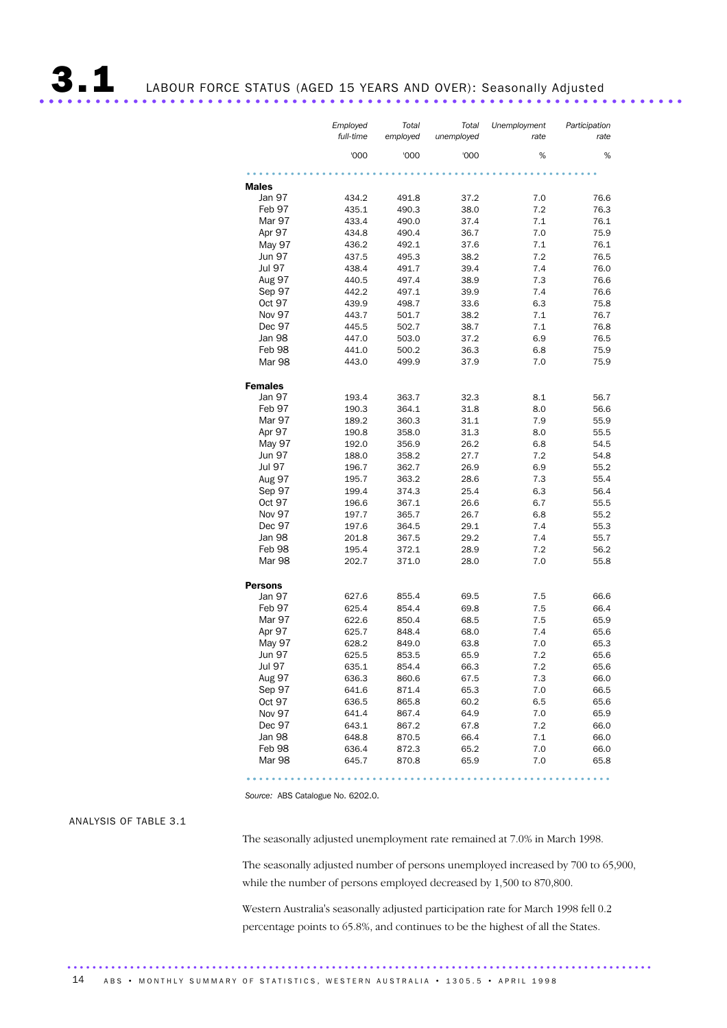3.1 LABOUR FORCE STATUS (AGED 15 YEARS AND OVER): Seasonally Adjusted ..................................................................... ....

|                | Employed<br>full-time | Total<br>employed | Total<br>unemployed | Unemployment<br>rate | Participation<br>rate |
|----------------|-----------------------|-------------------|---------------------|----------------------|-----------------------|
|                |                       |                   |                     |                      |                       |
|                | '000                  | '000              | '000                | %                    | %                     |
| <b>Males</b>   |                       |                   |                     |                      |                       |
| Jan 97         | 434.2                 | 491.8             | 37.2                | 7.0                  | 76.6                  |
| Feb 97         | 435.1                 | 490.3             | 38.0                | 7.2                  | 76.3                  |
| Mar 97         | 433.4                 | 490.0             | 37.4                | 7.1                  | 76.1                  |
| Apr 97         | 434.8                 | 490.4             | 36.7                | 7.0                  | 75.9                  |
| May 97         | 436.2                 | 492.1             | 37.6                | 7.1                  | 76.1                  |
| Jun 97         | 437.5                 | 495.3             | 38.2                | 7.2                  | 76.5                  |
| <b>Jul 97</b>  | 438.4                 | 491.7             | 39.4                | 7.4                  | 76.0                  |
| <b>Aug 97</b>  | 440.5                 | 497.4             | 38.9                | 7.3                  | 76.6                  |
| Sep 97         | 442.2                 | 497.1             | 39.9                | 7.4                  | 76.6                  |
| Oct 97         | 439.9                 | 498.7             | 33.6                | 6.3                  | 75.8                  |
| <b>Nov 97</b>  | 443.7                 | 501.7             | 38.2                | 7.1                  | 76.7                  |
| Dec 97         | 445.5                 | 502.7             | 38.7                | 7.1                  | 76.8                  |
| Jan 98         | 447.0                 | 503.0             | 37.2                | 6.9                  | 76.5                  |
| Feb 98         | 441.0                 | 500.2             | 36.3                | 6.8                  | 75.9                  |
| Mar 98         | 443.0                 | 499.9             | 37.9                | 7.0                  | 75.9                  |
| <b>Females</b> |                       |                   |                     |                      |                       |
| Jan 97         | 193.4                 | 363.7             | 32.3                | 8.1                  | 56.7                  |
| Feb 97         | 190.3                 | 364.1             | 31.8                | 8.0                  | 56.6                  |
| Mar 97         | 189.2                 | 360.3             | 31.1                | 7.9                  | 55.9                  |
| Apr 97         | 190.8                 | 358.0             | 31.3                | 8.0                  | 55.5                  |
| May 97         | 192.0                 | 356.9             | 26.2                | 6.8                  | 54.5                  |
| Jun 97         | 188.0                 | 358.2             | 27.7                | 7.2                  | 54.8                  |
| <b>Jul 97</b>  | 196.7                 | 362.7             | 26.9                | 6.9                  | 55.2                  |
| Aug 97         | 195.7                 | 363.2             | 28.6                | 7.3                  | 55.4                  |
| Sep 97         | 199.4                 | 374.3             | 25.4                | 6.3                  | 56.4                  |
| Oct 97         | 196.6                 | 367.1             | 26.6                | 6.7                  | 55.5                  |
| <b>Nov 97</b>  | 197.7                 | 365.7             | 26.7                | 6.8                  | 55.2                  |
| Dec 97         | 197.6                 | 364.5             | 29.1                | 7.4                  | 55.3                  |
| Jan 98         | 201.8                 | 367.5             | 29.2                | 7.4                  | 55.7                  |
| Feb 98         | 195.4                 | 372.1             | 28.9                | 7.2                  | 56.2                  |
| Mar 98         | 202.7                 | 371.0             | 28.0                | 7.0                  | 55.8                  |
| Persons        |                       |                   |                     |                      |                       |
| Jan 97         | 627.6                 | 855.4             | 69.5                | 7.5                  | 66.6                  |
| Feb 97         | 625.4                 | 854.4             | 69.8                | 7.5                  | 66.4                  |
| Mar 97         | 622.6                 | 850.4             | 68.5                | 7.5                  | 65.9                  |
| Apr 97         | 625.7                 | 848.4             | 68.0                | 7.4                  | 65.6                  |
| May 97         | 628.2                 | 849.0             | 63.8                | 7.0                  | 65.3                  |
| Jun 97         | 625.5                 | 853.5             | 65.9                | 7.2                  | 65.6                  |
| Jul 97         | 635.1                 | 854.4             | 66.3                | 7.2                  | 65.6                  |
| Aug 97         | 636.3                 | 860.6             | 67.5                | 7.3                  | 66.0                  |
| Sep 97         | 641.6                 | 871.4             | 65.3                | 7.0                  | 66.5                  |
| Oct 97         | 636.5                 | 865.8             | 60.2                | 6.5                  | 65.6                  |
| Nov 97         | 641.4                 | 867.4             | 64.9                | 7.0                  | 65.9                  |
| Dec 97         | 643.1                 | 867.2             | 67.8                | 7.2                  | 66.0                  |
| Jan 98         | 648.8                 | 870.5             | 66.4                | 7.1                  | 66.0                  |
| Feb 98         | 636.4                 | 872.3             | 65.2                | 7.0                  | 66.0                  |
| Mar 98         | 645.7                 | 870.8             | 65.9                | 7.0                  | 65.8                  |

*Source:* ABS Catalogue No. 6202.0.

#### ANALYSIS OF TABLE 3.1

The seasonally adjusted unemployment rate remained at 7.0% in March 1998.

The seasonally adjusted number of persons unemployed increased by 700 to 65,900, while the number of persons employed decreased by 1,500 to 870,800.

.......................................................... ..

Western Australia's seasonally adjusted participation rate for March 1998 fell 0.2 percentage points to 65.8%, and continues to be the highest of all the States.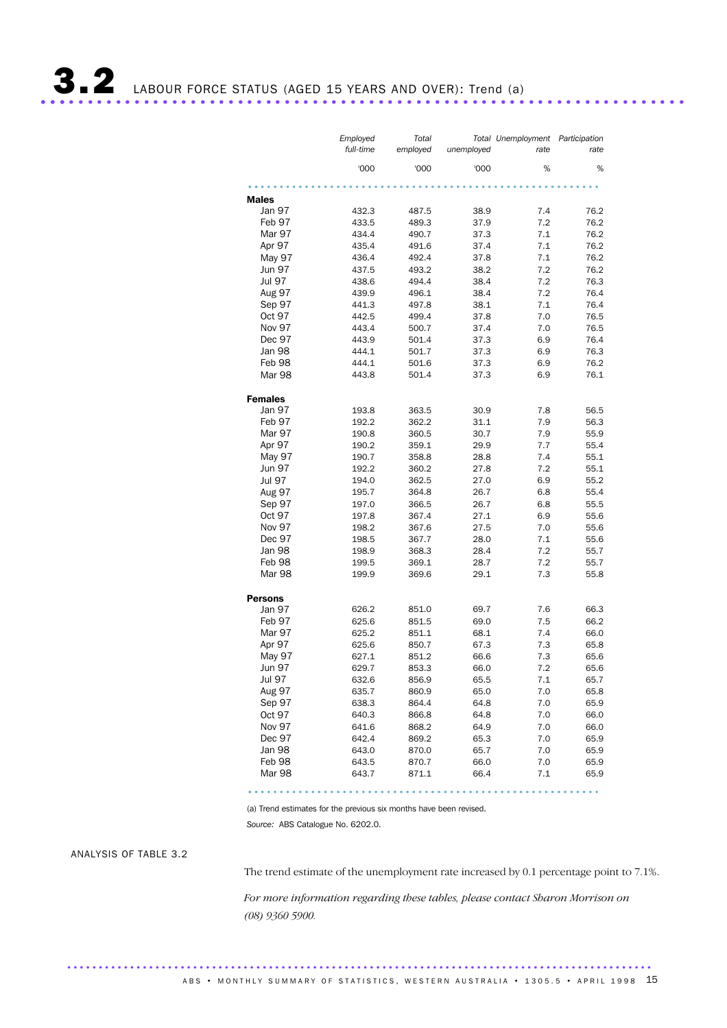|                  | Employed<br>full-time | Total<br>employed | unemployed   | Total Unemployment Participation<br>rate | rate         |
|------------------|-----------------------|-------------------|--------------|------------------------------------------|--------------|
|                  | '000                  | '000              | '000         | %                                        | %            |
|                  |                       |                   |              |                                          |              |
| <b>Males</b>     |                       |                   |              |                                          |              |
| Jan 97           | 432.3                 | 487.5             | 38.9         | 7.4                                      | 76.2         |
| Feb 97           | 433.5                 | 489.3             | 37.9         | 7.2                                      | 76.2         |
| Mar 97           | 434.4                 | 490.7             | 37.3         | 7.1                                      | 76.2         |
| Apr 97           | 435.4                 | 491.6             | 37.4         | 7.1                                      | 76.2         |
| May 97           | 436.4                 | 492.4             | 37.8         | 7.1                                      | 76.2         |
| Jun 97           | 437.5                 | 493.2             | 38.2         | 7.2                                      | 76.2         |
| <b>Jul 97</b>    | 438.6                 | 494.4             | 38.4         | 7.2                                      | 76.3         |
| <b>Aug 97</b>    | 439.9                 | 496.1             | 38.4         | 7.2                                      | 76.4         |
| Sep 97           | 441.3                 | 497.8             | 38.1         | 7.1                                      | 76.4         |
| Oct 97           | 442.5                 | 499.4             | 37.8         | 7.0                                      | 76.5         |
| <b>Nov 97</b>    | 443.4                 | 500.7             | 37.4         | 7.0                                      | 76.5         |
| Dec 97<br>Jan 98 | 443.9                 | 501.4             | 37.3         | 6.9                                      | 76.4         |
| Feb 98           | 444.1<br>444.1        | 501.7             | 37.3<br>37.3 | 6.9                                      | 76.3         |
| Mar 98           | 443.8                 | 501.6<br>501.4    | 37.3         | 6.9<br>6.9                               | 76.2<br>76.1 |
|                  |                       |                   |              |                                          |              |
| <b>Females</b>   |                       |                   |              |                                          |              |
| Jan 97           | 193.8                 | 363.5             | 30.9         | 7.8                                      | 56.5         |
| Feb 97           | 192.2                 | 362.2             | 31.1         | 7.9                                      | 56.3         |
| Mar 97           | 190.8                 | 360.5             | 30.7         | 7.9                                      | 55.9         |
| Apr 97           | 190.2                 | 359.1             | 29.9         | 7.7                                      | 55.4         |
| May 97           | 190.7                 | 358.8             | 28.8         | 7.4                                      | 55.1         |
| <b>Jun 97</b>    | 192.2                 | 360.2             | 27.8         | 7.2                                      | 55.1         |
| <b>Jul 97</b>    | 194.0                 | 362.5             | 27.0         | 6.9                                      | 55.2         |
| <b>Aug 97</b>    | 195.7                 | 364.8             | 26.7         | 6.8                                      | 55.4         |
| Sep 97           | 197.0                 | 366.5             | 26.7         | 6.8                                      | 55.5         |
| Oct 97           | 197.8                 | 367.4             | 27.1         | 6.9                                      | 55.6         |
| Nov 97           | 198.2                 | 367.6             | 27.5         | 7.0                                      | 55.6         |
| Dec 97           | 198.5                 | 367.7             | 28.0         | 7.1                                      | 55.6         |
| Jan 98           | 198.9                 | 368.3             | 28.4         | 7.2                                      | 55.7         |
| Feb 98           | 199.5                 | 369.1             | 28.7         | 7.2                                      | 55.7         |
| Mar 98           | 199.9                 | 369.6             | 29.1         | 7.3                                      | 55.8         |
| <b>Persons</b>   |                       |                   |              |                                          |              |
| Jan 97           | 626.2                 | 851.0             | 69.7         | 7.6                                      | 66.3         |
| Feb 97           | 625.6                 | 851.5             | 69.0         | 7.5                                      | 66.2         |
| Mar 97           | 625.2                 | 851.1             | 68.1         | 7.4                                      | 66.0         |
| Apr 97           | 625.6                 | 850.7             | 67.3         | 7.3                                      | 65.8         |
| May 97           | 627.1                 | 851.2             | 66.6         | 7.3                                      | 65.6         |
| Jun 97           | 629.7                 | 853.3             | 66.0         | 7.2                                      | 65.6         |
| <b>Jul 97</b>    | 632.6                 | 856.9             | 65.5         | 7.1                                      | 65.7         |
| Aug 97           | 635.7                 | 860.9             | 65.0         | 7.0                                      | 65.8         |
| Sep 97           | 638.3                 | 864.4             | 64.8         | 7.0                                      | 65.9         |
| Oct 97           | 640.3                 | 866.8             | 64.8         | 7.0                                      | 66.0         |
| <b>Nov 97</b>    | 641.6                 | 868.2             | 64.9         | 7.0                                      | 66.0         |
| Dec 97           | 642.4                 | 869.2             | 65.3         | 7.0                                      | 65.9         |
| Jan 98           | 643.0                 | 870.0             | 65.7         | 7.0                                      | 65.9         |
| Feb 98           | 643.5                 | 870.7             | 66.0         | 7.0                                      | 65.9         |
| Mar 98           | 643.7                 | 871.1             | 66.4         | 7.1                                      | 65.9         |

(a) Trend estimates for the previous six months have been revised.

*Source:* ABS Catalogue No. 6202.0.

.............................................................................................

#### ANALYSIS OF TABLE 3.2

The trend estimate of the unemployment rate increased by 0.1 percentage point to 7.1%.

*For more information regarding these tables, please contact Sharon Morrison on (08) 9360 5900.*

........................................................ ..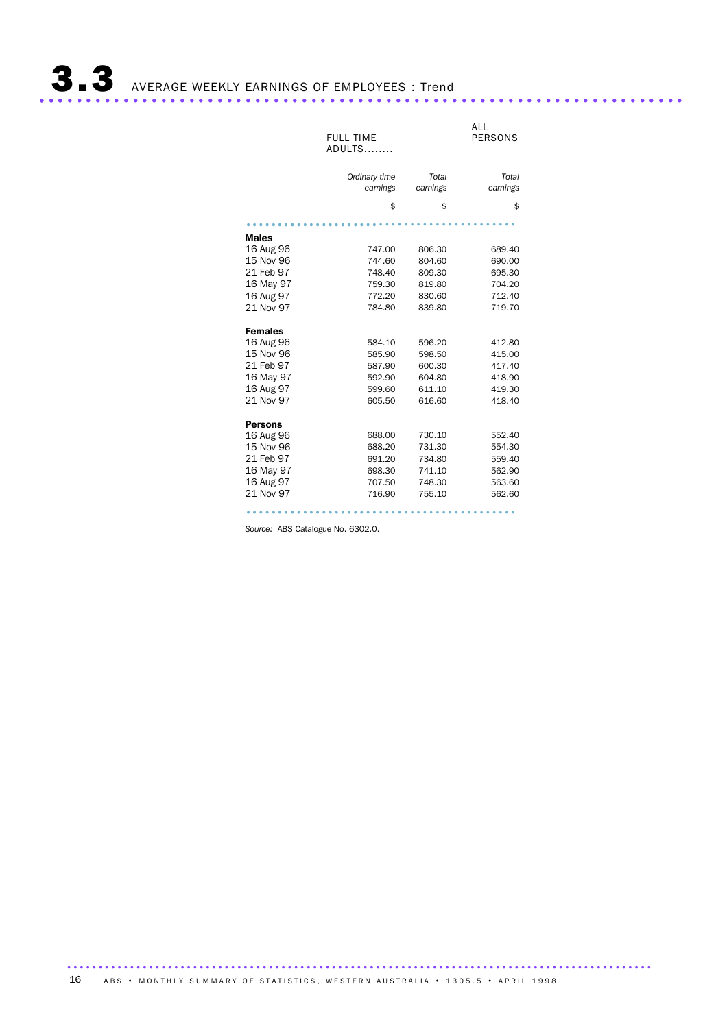**3.3** AVERAGE WEEKLY EARNINGS OF EMPLOYEES : Trend .............................

|                           | <b>FULL TIME</b><br>ADULTS |                   | <b>ALL</b><br>PERSONS |
|---------------------------|----------------------------|-------------------|-----------------------|
|                           | Ordinary time<br>earnings  | Total<br>earnings | Total<br>earnings     |
|                           | \$                         | \$                | \$                    |
|                           |                            |                   |                       |
| <b>Males</b><br>16 Aug 96 | 747.00                     | 806.30            | 689.40                |
| 15 Nov 96                 | 744.60                     | 804.60            | 690.00                |
| 21 Feb 97                 | 748.40                     | 809.30            | 695.30                |
| 16 May 97                 | 759.30                     | 819.80            | 704.20                |
| 16 Aug 97                 | 772.20                     | 830.60            | 712.40                |
| 21 Nov 97                 | 784.80                     | 839.80            | 719.70                |
| <b>Females</b>            |                            |                   |                       |
| 16 Aug 96                 | 584.10                     | 596.20            | 412.80                |
| 15 Nov 96                 | 585.90                     | 598.50            | 415.00                |
| 21 Feb 97                 | 587.90                     | 600.30            | 417.40                |
| 16 May 97                 | 592.90                     | 604.80            | 418.90                |
| 16 Aug 97                 | 599.60                     | 611.10            | 419.30                |
| 21 Nov 97                 | 605.50                     | 616.60            | 418.40                |
| <b>Persons</b>            |                            |                   |                       |
| 16 Aug 96                 | 688.00                     | 730.10            | 552.40                |
| 15 Nov 96                 | 688.20                     | 731.30            | 554.30                |
| 21 Feb 97                 | 691.20                     | 734.80            | 559.40                |
| 16 May 97                 | 698.30                     | 741.10            | 562.90                |
| 16 Aug 97                 | 707.50                     | 748.30            | 563.60                |
| 21 Nov 97                 | 716.90                     | 755.10            | 562.60                |
|                           |                            |                   |                       |

*Source:* ABS Catalogue No. 6302.0.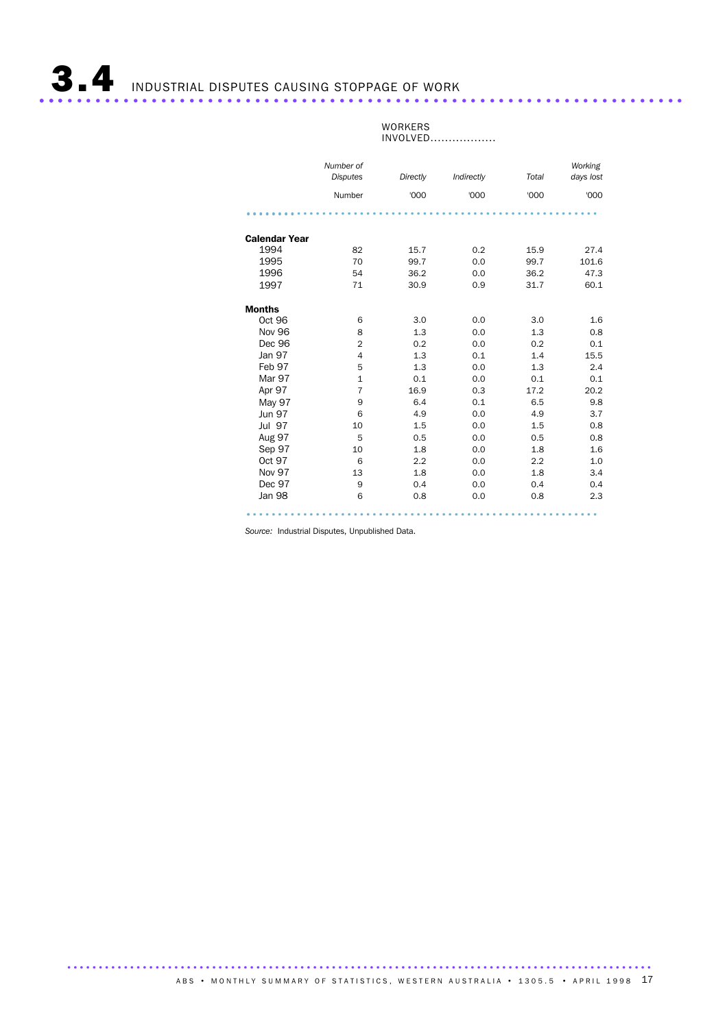3.4 INDUSTRIAL DISPUTES CAUSING STOPPAGE OF WORK ...............................

#### WORKERS INVOLVED..................

|                      | Number of<br><b>Disputes</b> | Directly | Indirectly | Total | Working<br>days lost |
|----------------------|------------------------------|----------|------------|-------|----------------------|
|                      | Number                       | '000     | '000       | '000  | '000                 |
|                      |                              |          |            |       |                      |
| <b>Calendar Year</b> |                              |          |            |       |                      |
| 1994                 | 82                           | 15.7     | 0.2        | 15.9  | 27.4                 |
| 1995                 | 70                           | 99.7     | 0.0        | 99.7  | 101.6                |
| 1996                 | 54                           | 36.2     | 0.0        | 36.2  | 47.3                 |
| 1997                 | 71                           | 30.9     | 0.9        | 31.7  | 60.1                 |
| <b>Months</b>        |                              |          |            |       |                      |
| <b>Oct 96</b>        | 6                            | 3.0      | 0.0        | 3.0   | 1.6                  |
| <b>Nov 96</b>        | 8                            | 1.3      | 0.0        | 1.3   | 0.8                  |
| Dec 96               | $\overline{2}$               | 0.2      | 0.0        | 0.2   | 0.1                  |
| Jan 97               | $\overline{4}$               | 1.3      | 0.1        | 1.4   | 15.5                 |
| Feb 97               | 5                            | 1.3      | 0.0        | 1.3   | 2.4                  |
| Mar 97               | $\mathbf{1}$                 | 0.1      | 0.0        | 0.1   | 0.1                  |
| Apr 97               | $\overline{7}$               | 16.9     | 0.3        | 17.2  | 20.2                 |
| May 97               | 9                            | 6.4      | 0.1        | 6.5   | 9.8                  |
| <b>Jun 97</b>        | 6                            | 4.9      | 0.0        | 4.9   | 3.7                  |
| Jul 97               | 10                           | 1.5      | 0.0        | 1.5   | 0.8                  |
| Aug 97               | 5                            | 0.5      | 0.0        | 0.5   | 0.8                  |
| Sep 97               | 10                           | 1.8      | 0.0        | 1.8   | 1.6                  |
| Oct 97               | 6                            | 2.2      | 0.0        | 2.2   | 1.0                  |
| <b>Nov 97</b>        | 13                           | 1.8      | 0.0        | 1.8   | 3.4                  |
| Dec 97               | 9                            | 0.4      | 0.0        | 0.4   | 0.4                  |
| Jan 98               | 6                            | 0.8      | 0.0        | 0.8   | 2.3                  |
|                      |                              |          |            |       |                      |

*Source:* Industrial Disputes, Unpublished Data.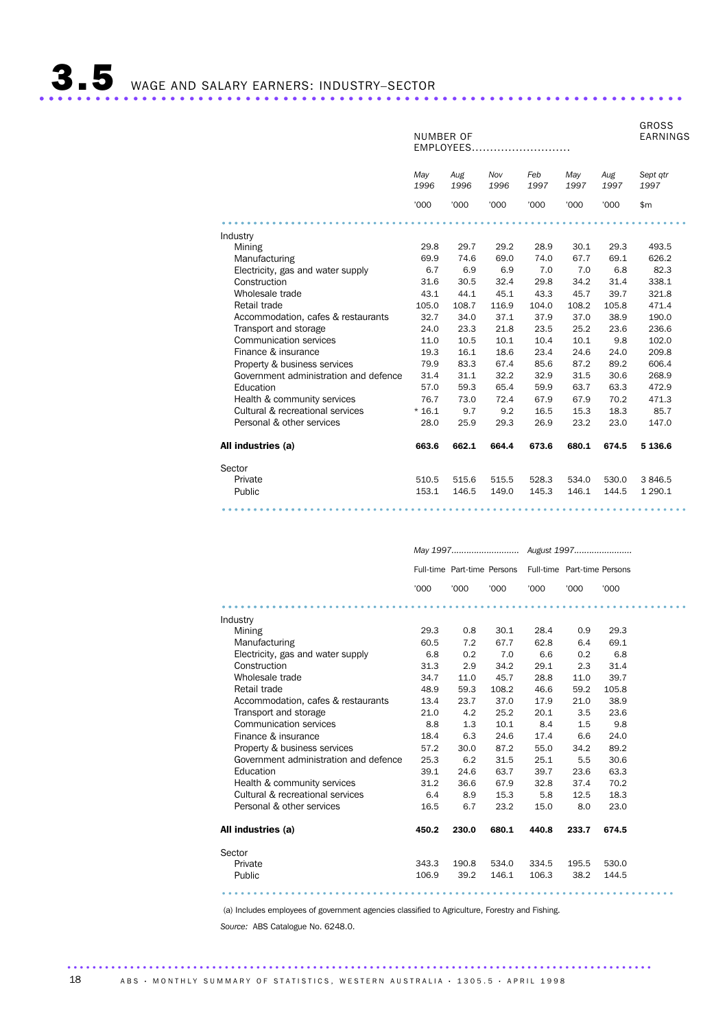NUMBER OF EMPLOYEES........................... GROSS EARNINGS

|                                       | May<br>1996 | Aug<br>1996 | Nov<br>1996 | Feb<br>1997 | May<br>1997 | Aug<br>1997 | Sept qtr<br>1997 |
|---------------------------------------|-------------|-------------|-------------|-------------|-------------|-------------|------------------|
|                                       | '000        | '000        | '000        | '000        | '000        | '000        | \$m              |
|                                       |             |             |             |             |             |             |                  |
| Industry                              |             |             |             |             |             |             |                  |
| Mining                                | 29.8        | 29.7        | 29.2        | 28.9        | 30.1        | 29.3        | 493.5            |
| Manufacturing                         | 69.9        | 74.6        | 69.0        | 74.0        | 67.7        | 69.1        | 626.2            |
| Electricity, gas and water supply     | 6.7         | 6.9         | 6.9         | 7.0         | 7.0         | 6.8         | 82.3             |
| Construction                          | 31.6        | 30.5        | 32.4        | 29.8        | 34.2        | 31.4        | 338.1            |
| Wholesale trade                       | 43.1        | 44.1        | 45.1        | 43.3        | 45.7        | 39.7        | 321.8            |
| Retail trade                          | 105.0       | 108.7       | 116.9       | 104.0       | 108.2       | 105.8       | 471.4            |
| Accommodation, cafes & restaurants    | 32.7        | 34.0        | 37.1        | 37.9        | 37.0        | 38.9        | 190.0            |
| Transport and storage                 | 24.0        | 23.3        | 21.8        | 23.5        | 25.2        | 23.6        | 236.6            |
| Communication services                | 11.0        | 10.5        | 10.1        | 10.4        | 10.1        | 9.8         | 102.0            |
| Finance & insurance                   | 19.3        | 16.1        | 18.6        | 23.4        | 24.6        | 24.0        | 209.8            |
| Property & business services          | 79.9        | 83.3        | 67.4        | 85.6        | 87.2        | 89.2        | 606.4            |
| Government administration and defence | 31.4        | 31.1        | 32.2        | 32.9        | 31.5        | 30.6        | 268.9            |
| Education                             | 57.0        | 59.3        | 65.4        | 59.9        | 63.7        | 63.3        | 472.9            |
| Health & community services           | 76.7        | 73.0        | 72.4        | 67.9        | 67.9        | 70.2        | 471.3            |
| Cultural & recreational services      | $*16.1$     | 9.7         | 9.2         | 16.5        | 15.3        | 18.3        | 85.7             |
| Personal & other services             | 28.0        | 25.9        | 29.3        | 26.9        | 23.2        | 23.0        | 147.0            |
| All industries (a)                    | 663.6       | 662.1       | 664.4       | 673.6       | 680.1       | 674.5       | 5 136.6          |
| Sector                                |             |             |             |             |             |             |                  |
| Private                               | 510.5       | 515.6       | 515.5       | 528.3       | 534.0       | 530.0       | 3846.5           |
| Public                                | 153.1       | 146.5       | 149.0       | 145.3       | 146.1       | 144.5       | 1 2 9 0.1        |
|                                       |             |             |             |             |             | .           |                  |

|                                       |       |       |       | Full-time Part-time Persons Full-time Part-time Persons |       |       |
|---------------------------------------|-------|-------|-------|---------------------------------------------------------|-------|-------|
|                                       | '000  | '000  | '000  | '000                                                    | '000  | '000  |
|                                       |       |       |       |                                                         |       |       |
| Industry                              |       |       |       |                                                         |       |       |
| Mining                                | 29.3  | 0.8   | 30.1  | 28.4                                                    | 0.9   | 29.3  |
| Manufacturing                         | 60.5  | 7.2   | 67.7  | 62.8                                                    | 6.4   | 69.1  |
| Electricity, gas and water supply     | 6.8   | 0.2   | 7.0   | 6.6                                                     | 0.2   | 6.8   |
| Construction                          | 31.3  | 2.9   | 34.2  | 29.1                                                    | 2.3   | 31.4  |
| Wholesale trade                       | 34.7  | 11.0  | 45.7  | 28.8                                                    | 11.0  | 39.7  |
| Retail trade                          | 48.9  | 59.3  | 108.2 | 46.6                                                    | 59.2  | 105.8 |
| Accommodation, cafes & restaurants    | 13.4  | 23.7  | 37.0  | 17.9                                                    | 21.0  | 38.9  |
| Transport and storage                 | 21.0  | 4.2   | 25.2  | 20.1                                                    | 3.5   | 23.6  |
| Communication services                | 8.8   | 1.3   | 10.1  | 8.4                                                     | 1.5   | 9.8   |
| Finance & insurance                   | 18.4  | 6.3   | 24.6  | 17.4                                                    | 6.6   | 24.0  |
| Property & business services          | 57.2  | 30.0  | 87.2  | 55.0                                                    | 34.2  | 89.2  |
| Government administration and defence | 25.3  | 6.2   | 31.5  | 25.1                                                    | 5.5   | 30.6  |
| Education                             | 39.1  | 24.6  | 63.7  | 39.7                                                    | 23.6  | 63.3  |
| Health & community services           | 31.2  | 36.6  | 67.9  | 32.8                                                    | 37.4  | 70.2  |
| Cultural & recreational services      | 6.4   | 8.9   | 15.3  | 5.8                                                     | 12.5  | 18.3  |
| Personal & other services             | 16.5  | 6.7   | 23.2  | 15.0                                                    | 8.0   | 23.0  |
| All industries (a)                    | 450.2 | 230.0 | 680.1 | 440.8                                                   | 233.7 | 674.5 |
| Sector                                |       |       |       |                                                         |       |       |
| Private                               | 343.3 | 190.8 | 534.0 | 334.5                                                   | 195.5 | 530.0 |
| Public                                | 106.9 | 39.2  | 146.1 | 106.3                                                   | 38.2  | 144.5 |
|                                       |       |       |       |                                                         |       |       |

(a) Includes employees of government agencies classified to Agriculture, Forestry and Fishing.

.............................................................................................

*Source:* ABS Catalogue No. 6248.0.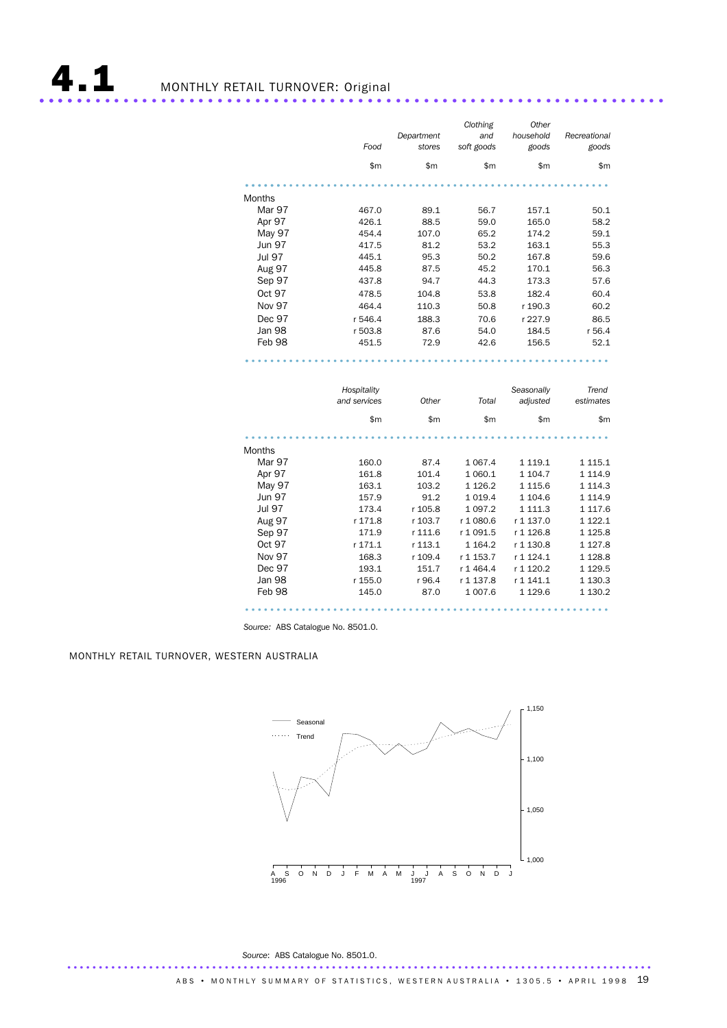|               |              |            | Clothing   | Other       |              |
|---------------|--------------|------------|------------|-------------|--------------|
|               |              | Department | and        | household   | Recreational |
|               | Food         | stores     | soft goods | goods       | goods        |
|               | \$m          | \$m        | \$m        | \$m         | \$m          |
|               |              |            |            |             |              |
| Months        |              |            |            |             |              |
| Mar 97        | 467.0        | 89.1       | 56.7       | 157.1       | 50.1         |
| Apr 97        | 426.1        | 88.5       | 59.0       | 165.0       | 58.2         |
| May 97        | 454.4        | 107.0      | 65.2       | 174.2       | 59.1         |
| <b>Jun 97</b> | 417.5        | 81.2       | 53.2       | 163.1       | 55.3         |
| <b>Jul 97</b> | 445.1        | 95.3       | 50.2       | 167.8       | 59.6         |
| <b>Aug 97</b> | 445.8        | 87.5       | 45.2       | 170.1       | 56.3         |
| Sep 97        | 437.8        | 94.7       | 44.3       | 173.3       | 57.6         |
| Oct 97        | 478.5        | 104.8      | 53.8       | 182.4       | 60.4         |
| Nov 97        | 464.4        | 110.3      | 50.8       | r 190.3     | 60.2         |
| Dec 97        | r 546.4      | 188.3      | 70.6       | r 227.9     | 86.5         |
| <b>Jan 98</b> | r 503.8      | 87.6       | 54.0       | 184.5       | r 56.4       |
| Feb 98        | 451.5        | 72.9       | 42.6       | 156.5       | 52.1         |
|               |              |            |            |             |              |
|               |              |            |            |             |              |
|               |              |            |            |             |              |
|               | Hospitality  |            |            | Seasonally  | Trend        |
|               | and services | Other      | Total      | adjusted    | estimates    |
|               | \$m          | \$m        | \$m        | \$m         | \$m          |
|               |              |            |            |             |              |
|               |              |            |            |             |              |
| <b>Months</b> |              |            |            |             |              |
| Mar 97        | 160.0        | 87.4       | 1 0 67.4   | 1 1 1 9 . 1 | 1 1 1 5 . 1  |
| Apr 97        | 161.8        | 101.4      | 1 0 6 0.1  | 1 104.7     | 1 1 1 4.9    |
| May 97        | 163.1        | 103.2      | 1 1 2 6.2  | 1 1 1 5.6   | 1 1 1 4 . 3  |
| <b>Jun 97</b> | 157.9        | 91.2       | 1 0 1 9.4  | 1 104.6     | 1 1 1 4 .9   |
| <b>Jul 97</b> | 173.4        | r 105.8    | 1 097.2    | 1 111.3     | 1 1 1 7.6    |
| Aug 97        | r 171.8      | r 103.7    | r 1 080.6  | r 1 137.0   | 1 1 2 2.1    |
| Sep 97        | 171.9        | r 111.6    | r 1091.5   | r 1 126.8   | 1 1 2 5.8    |
| <b>Oct 97</b> | r 171.1      | r 113.1    | 1 1 64.2   | r 1 130.8   | 1 1 2 7 . 8  |
| Nov 97        | 168.3        | r 109.4    | r 1 153.7  | r 1 124.1   | 1 1 28.8     |
| Dec 97        | 193.1        | 151.7      | r 1 464.4  | r 1 120.2   | 1 1 2 9.5    |
| Jan 98        |              |            |            |             |              |
|               | r 155.0      | r 96.4     | r 1 137.8  | r 1 141.1   | 1 1 3 0 . 3  |
| Feb 98        | 145.0        | 87.0       | 1 007.6    | 1 1 2 9.6   | 1 130.2      |

*Source:* ABS Catalogue No. 8501.0.

#### MONTHLY RETAIL TURNOVER, WESTERN AUSTRALIA

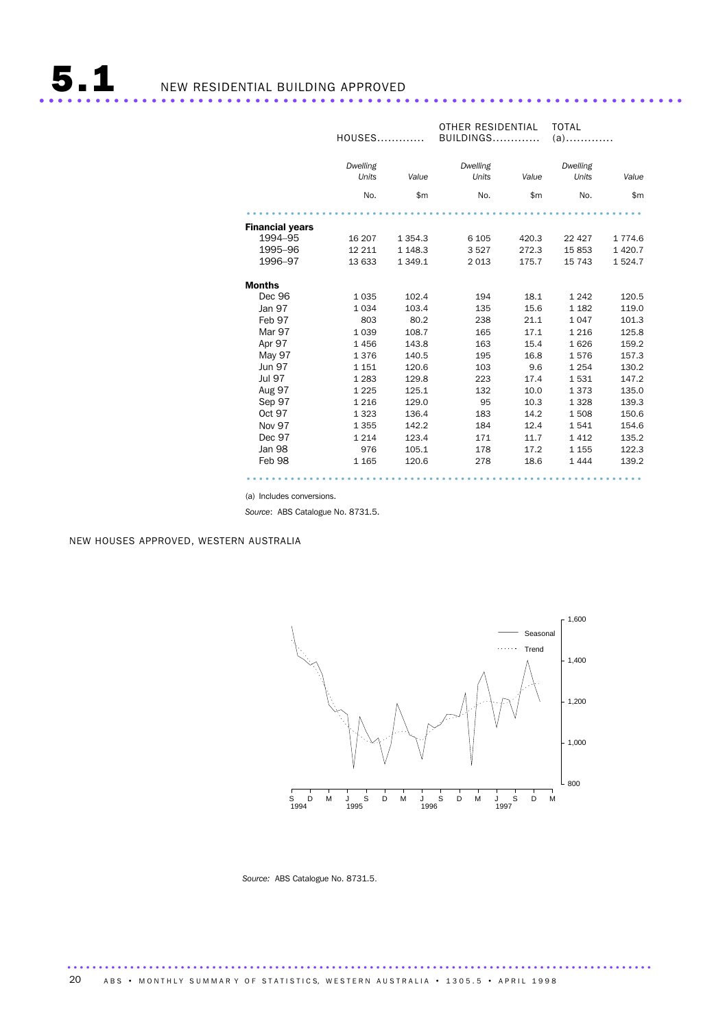5.1 NEW RESIDENTIAL BUILDING APPROVED ..................................................................... ...

|                        | <b>HOUSES</b>     |             | OTHER RESIDENTIAL<br>BUILDINGS |       | <b>TOTAL</b><br>$(a)$ |           |
|------------------------|-------------------|-------------|--------------------------------|-------|-----------------------|-----------|
|                        | Dwelling<br>Units | Value       | Dwelling<br>Units              | Value | Dwelling<br>Units     | Value     |
|                        | No.               | \$m         | No.                            | \$m\$ | No.                   | \$m       |
| <b>Financial years</b> |                   |             |                                |       |                       |           |
| 1994-95                | 16 207            | 1 3 5 4 . 3 | 6 1 0 5                        | 420.3 | 22 4 27               | 1 774.6   |
| 1995-96                | 12 211            | 1 1 48.3    | 3527                           | 272.3 | 15853                 | 1 4 2 0.7 |
| 1996-97                | 13 633            | 1 3 4 9 . 1 | 2013                           | 175.7 | 15 7 43               | 1524.7    |
| <b>Months</b>          |                   |             |                                |       |                       |           |
| Dec 96                 | 1035              | 102.4       | 194                            | 18.1  | 1 2 4 2               | 120.5     |
| Jan 97                 | 1034              | 103.4       | 135                            | 15.6  | 1 1 8 2               | 119.0     |
| Feb 97                 | 803               | 80.2        | 238                            | 21.1  | 1 0 4 7               | 101.3     |
| Mar 97                 | 1039              | 108.7       | 165                            | 17.1  | 1 2 1 6               | 125.8     |
| Apr 97                 | 1456              | 143.8       | 163                            | 15.4  | 1626                  | 159.2     |
| May 97                 | 1376              | 140.5       | 195                            | 16.8  | 1576                  | 157.3     |
| <b>Jun 97</b>          | 1 1 5 1           | 120.6       | 103                            | 9.6   | 1 2 5 4               | 130.2     |
| <b>Jul 97</b>          | 1 2 8 3           | 129.8       | 223                            | 17.4  | 1531                  | 147.2     |
| Aug 97                 | 1 2 2 5           | 125.1       | 132                            | 10.0  | 1373                  | 135.0     |
| Sep 97                 | 1 2 1 6           | 129.0       | 95                             | 10.3  | 1 3 2 8               | 139.3     |
| Oct 97                 | 1 3 2 3           | 136.4       | 183                            | 14.2  | 1508                  | 150.6     |
| Nov 97                 | 1 3 5 5           | 142.2       | 184                            | 12.4  | 1541                  | 154.6     |
| Dec 97                 | 1 2 1 4           | 123.4       | 171                            | 11.7  | 1412                  | 135.2     |
| Jan 98                 | 976               | 105.1       | 178                            | 17.2  | 1 1 5 5               | 122.3     |
| Feb 98                 | 1 1 6 5           | 120.6       | 278                            | 18.6  | 1444                  | 139.2     |
|                        |                   |             |                                |       |                       |           |

(a) Includes conversions.

*Source*: ABS Catalogue No. 8731.5.

NEW HOUSES APPROVED, WESTERN AUSTRALIA



*Source:* ABS Catalogue No. 8731.5.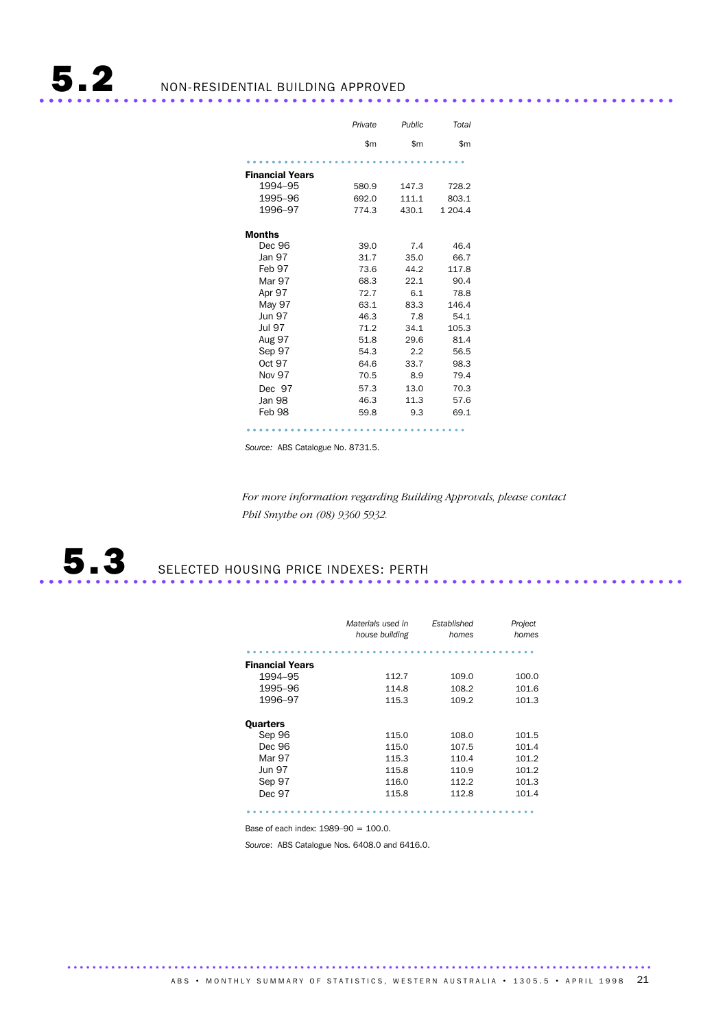|                        | Private | Public | Total   |
|------------------------|---------|--------|---------|
|                        | \$m     | \$m    | \$m     |
|                        |         |        |         |
| <b>Financial Years</b> |         |        |         |
| 1994-95                | 580.9   | 147.3  | 728.2   |
| 1995-96                | 692.0   | 111.1  | 803.1   |
| 1996-97                | 774.3   | 430.1  | 1 204.4 |
|                        |         |        |         |
| <b>Months</b>          |         |        |         |
| Dec 96                 | 39.0    | 7.4    | 46.4    |
| Jan 97                 | 31.7    | 35.0   | 66.7    |
| Feb 97                 | 73.6    | 44.2   | 117.8   |
| Mar 97                 | 68.3    | 22.1   | 90.4    |
| Apr 97                 | 72.7    | 6.1    | 78.8    |
| May 97                 | 63.1    | 83.3   | 146.4   |
| <b>Jun 97</b>          | 46.3    | 7.8    | 54.1    |
| <b>Jul 97</b>          | 71.2    | 34.1   | 105.3   |
| Aug 97                 | 51.8    | 29.6   | 81.4    |
| Sep 97                 | 54.3    | 2.2    | 56.5    |
| Oct 97                 | 64.6    | 33.7   | 98.3    |
| <b>Nov 97</b>          | 70.5    | 8.9    | 79.4    |
| Dec 97                 | 57.3    | 13.0   | 70.3    |
| Jan 98                 | 46.3    | 11.3   | 57.6    |
| Feb 98                 | 59.8    | 9.3    | 69.1    |
|                        |         |        |         |

*Source:* ABS Catalogue No. 8731.5.

*For more information regarding Building Approvals, please contact Phil Smythe on (08) 9360 5932.*

5.3 SELECTED HOUSING PRICE INDEXES: PERTH ..................................................................... ...

|                        | Materials used in<br>house building | Established<br>homes | Project<br>homes |
|------------------------|-------------------------------------|----------------------|------------------|
|                        |                                     |                      |                  |
| <b>Financial Years</b> |                                     |                      |                  |
| 1994-95                | 112.7                               | 109.0                | 100.0            |
| 1995-96                | 114.8                               | 108.2                | 101.6            |
| 1996-97                | 115.3                               | 109.2                | 101.3            |
|                        |                                     |                      |                  |
| Quarters               |                                     |                      |                  |
| Sep 96                 | 115.0                               | 108.0                | 101.5            |
| Dec 96                 | 115.0                               | 107.5                | 101.4            |
| Mar 97                 | 115.3                               | 110.4                | 101.2            |
| <b>Jun 97</b>          | 115.8                               | 110.9                | 101.2            |
| Sep 97                 | 116.0                               | 112.2                | 101.3            |
| Dec 97                 | 115.8                               | 112.8                | 101.4            |

.............................................. .

Base of each index: 1989–90 = 100.0.

*Source*: ABS Catalogue Nos. 6408.0 and 6416.0.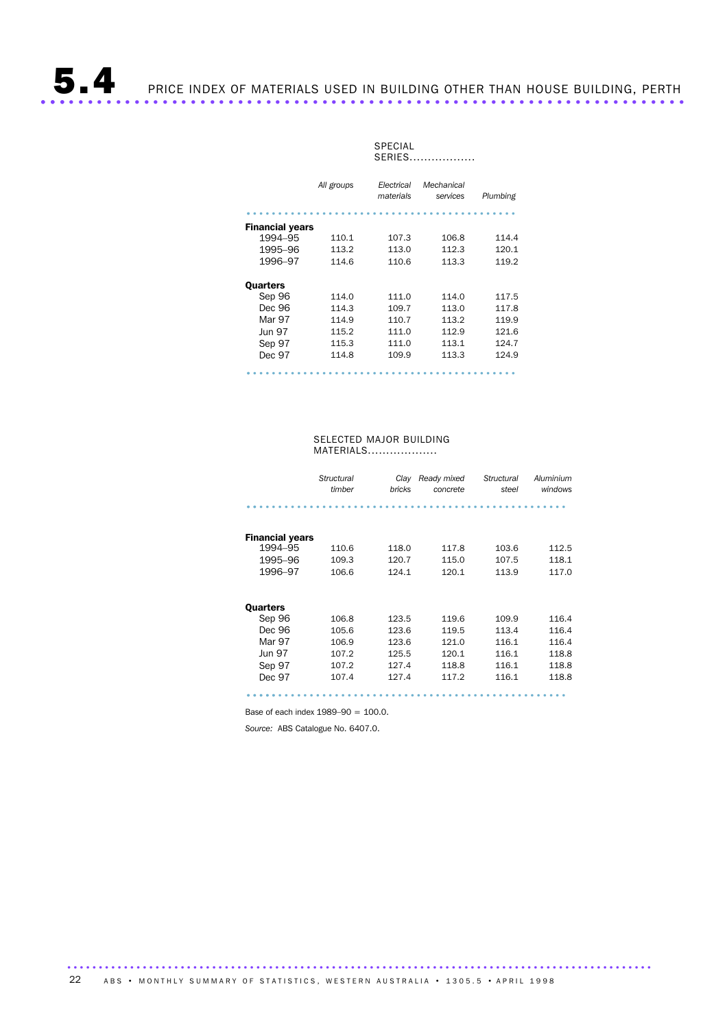#### SPECIAL **SERIES.................**

|                        | All groups | Electrical<br>materials | Mechanical<br>services | Plumbing |
|------------------------|------------|-------------------------|------------------------|----------|
|                        |            |                         |                        |          |
| <b>Financial years</b> |            |                         |                        |          |
| 1994-95                | 110.1      | 107.3                   | 106.8                  | 114.4    |
| 1995-96                | 113.2      | 113.0                   | 112.3                  | 120.1    |
| 1996-97                | 114.6      | 110.6                   | 113.3                  | 119.2    |
|                        |            |                         |                        |          |
| <b>Ouarters</b>        |            |                         |                        |          |
| Sep 96                 | 114.0      | 111.0                   | 114.0                  | 117.5    |
| Dec 96                 | 114.3      | 109.7                   | 113.0                  | 117.8    |
| Mar 97                 | 114.9      | 110.7                   | 113.2                  | 119.9    |
| Jun 97                 | 115.2      | 111.0                   | 112.9                  | 121.6    |
| Sep 97                 | 115.3      | 111.0                   | 113.1                  | 124.7    |
| Dec 97                 | 114.8      | 109.9                   | 113.3                  | 124.9    |
|                        |            |                         |                        |          |

#### SELECTED MAJOR BUILDING MATERIALS...................

|                        | Structural<br>timber | Clay<br>bricks | Ready mixed<br>concrete | Structural<br>steel | Aluminium<br>windows |
|------------------------|----------------------|----------------|-------------------------|---------------------|----------------------|
|                        |                      |                |                         |                     |                      |
|                        |                      |                |                         |                     |                      |
| <b>Financial years</b> |                      |                |                         |                     |                      |
| 1994–95                | 110.6                | 118.0          | 117.8                   | 103.6               | 112.5                |
| 1995–96                | 109.3                | 120.7          | 115.0                   | 107.5               | 118.1                |
| 1996-97                | 106.6                | 124.1          | 120.1                   | 113.9               | 117.0                |
|                        |                      |                |                         |                     |                      |
|                        |                      |                |                         |                     |                      |
| <b>Ouarters</b>        |                      |                |                         |                     |                      |
| Sep 96                 | 106.8                | 123.5          | 119.6                   | 109.9               | 116.4                |
| Dec 96                 | 105.6                | 123.6          | 119.5                   | 113.4               | 116.4                |
| Mar 97                 | 106.9                | 123.6          | 121.0                   | 116.1               | 116.4                |
| <b>Jun 97</b>          | 107.2                | 125.5          | 120.1                   | 116.1               | 118.8                |
| Sep 97                 | 107.2                | 127.4          | 118.8                   | 116.1               | 118.8                |
| Dec 97                 | 107.4                | 127.4          | 117.2                   | 116.1               | 118.8                |
|                        |                      |                |                         |                     |                      |

Base of each index 1989–90 = 100.0.

*Source:* ABS Catalogue No. 6407.0.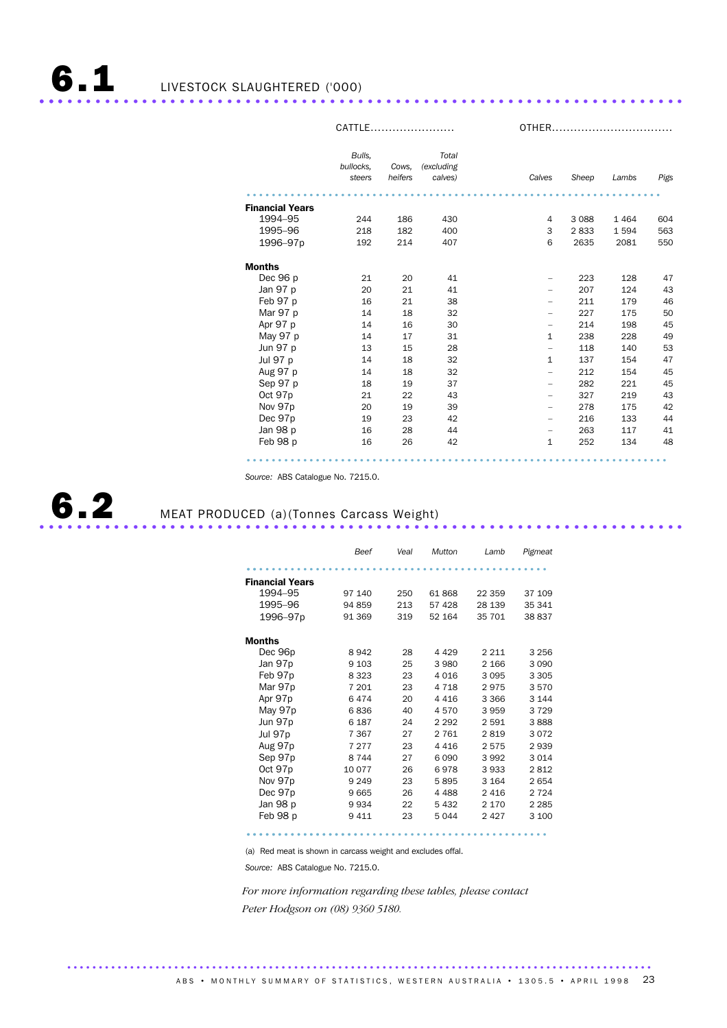6.1 LIVESTOCK SLAUGHTERED ('000) ..................................................................... ...

|                                   | CATTLE              |         |                     |                          | 0THER   |         |      |  |
|-----------------------------------|---------------------|---------|---------------------|--------------------------|---------|---------|------|--|
|                                   | Bulls,<br>bullocks. | Cows.   | Total<br>(excluding |                          |         |         |      |  |
|                                   | steers              | heifers | calves)             | Calves                   | Sheep   | Lambs   | Pigs |  |
|                                   |                     |         |                     |                          |         |         |      |  |
| <b>Financial Years</b><br>1994-95 | 244                 | 186     | 430                 | 4                        | 3 0 8 8 | 1 4 6 4 | 604  |  |
| 1995-96                           | 218                 | 182     | 400                 | 3                        | 2833    | 1594    | 563  |  |
| 1996-97p                          | 192                 | 214     | 407                 | 6                        | 2635    | 2081    | 550  |  |
| <b>Months</b>                     |                     |         |                     |                          |         |         |      |  |
| Dec 96 p                          | 21                  | 20      | 41                  |                          | 223     | 128     | 47   |  |
| Jan 97 p                          | 20                  | 21      | 41                  |                          | 207     | 124     | 43   |  |
| Feb 97 p                          | 16                  | 21      | 38                  |                          | 211     | 179     | 46   |  |
| Mar 97 p                          | 14                  | 18      | 32                  |                          | 227     | 175     | 50   |  |
| Apr 97 p                          | 14                  | 16      | 30                  | -                        | 214     | 198     | 45   |  |
| May 97 p                          | 14                  | 17      | 31                  | $\mathbf{1}$             | 238     | 228     | 49   |  |
| Jun 97 p                          | 13                  | 15      | 28                  | $\overline{a}$           | 118     | 140     | 53   |  |
| Jul 97 p                          | 14                  | 18      | 32                  | $\mathbf{1}$             | 137     | 154     | 47   |  |
| Aug 97 p                          | 14                  | 18      | 32                  | $\overline{\phantom{0}}$ | 212     | 154     | 45   |  |
| Sep 97 p                          | 18                  | 19      | 37                  | $\overline{\phantom{0}}$ | 282     | 221     | 45   |  |
| Oct 97p                           | 21                  | 22      | 43                  | $\overline{\phantom{0}}$ | 327     | 219     | 43   |  |
| Nov 97p                           | 20                  | 19      | 39                  |                          | 278     | 175     | 42   |  |
| Dec 97p                           | 19                  | 23      | 42                  | $\overline{a}$           | 216     | 133     | 44   |  |
| Jan 98 p                          | 16                  | 28      | 44                  | $\overline{a}$           | 263     | 117     | 41   |  |
| Feb 98 p                          | 16                  | 26      | 42                  | $\mathbf{1}$             | 252     | 134     | 48   |  |

*Source:* ABS Catalogue No. 7215.0.

6.2 MEAT PRODUCED (a)(Tonnes Carcass Weight) .....................................................................

|                        | Beef    | Veal | Mutton  | Lamb    | Pigmeat |
|------------------------|---------|------|---------|---------|---------|
|                        |         |      |         |         |         |
| <b>Financial Years</b> |         |      |         |         |         |
| 1994-95                | 97 140  | 250  | 61868   | 22 359  | 37 109  |
| 1995-96                | 94 859  | 213  | 57 428  | 28 139  | 35 341  |
| 1996-97p               | 91 369  | 319  | 52 164  | 35 701  | 38 837  |
| Months                 |         |      |         |         |         |
| Dec 96p                | 8942    | 28   | 4 4 2 9 | 2 2 1 1 | 3 2 5 6 |
| Jan 97p                | 9 1 0 3 | 25   | 3 9 8 0 | 2 1 6 6 | 3 0 9 0 |
| Feb 97p                | 8 3 2 3 | 23   | 4016    | 3 0 9 5 | 3 3 0 5 |
| Mar 97p                | 7 201   | 23   | 4 7 1 8 | 2975    | 3570    |
| Apr 97p                | 6474    | 20   | 4 4 1 6 | 3 3 6 6 | 3 1 4 4 |
| May 97p                | 6836    | 40   | 4570    | 3959    | 3729    |
| Jun 97p                | 6 187   | 24   | 2 2 9 2 | 2 5 9 1 | 3888    |
| Jul 97p                | 7 3 6 7 | 27   | 2 7 6 1 | 2819    | 3072    |
| Aug 97p                | 7 277   | 23   | 4416    | 2575    | 2939    |
| Sep 97p                | 8 7 4 4 | 27   | 6090    | 3992    | 3 0 1 4 |
| Oct 97p                | 10 077  | 26   | 6978    | 3933    | 2812    |
| Nov 97p                | 9 2 4 9 | 23   | 5895    | 3 1 6 4 | 2654    |
| Dec 97p                | 9665    | 26   | 4 4 8 8 | 2416    | 2 7 2 4 |
| Jan 98 p               | 9934    | 22   | 5432    | 2 1 7 0 | 2 2 8 5 |
| Feb 98 p               | 9 4 1 1 | 23   | 5044    | 2427    | 3 100   |

(a) Red meat is shown in carcass weight and excludes offal.

.............................................................................................

*Source:* ABS Catalogue No. 7215.0.

*For more information regarding these tables, please contact Peter Hodgson on (08) 9360 5180.*

................................................ ..................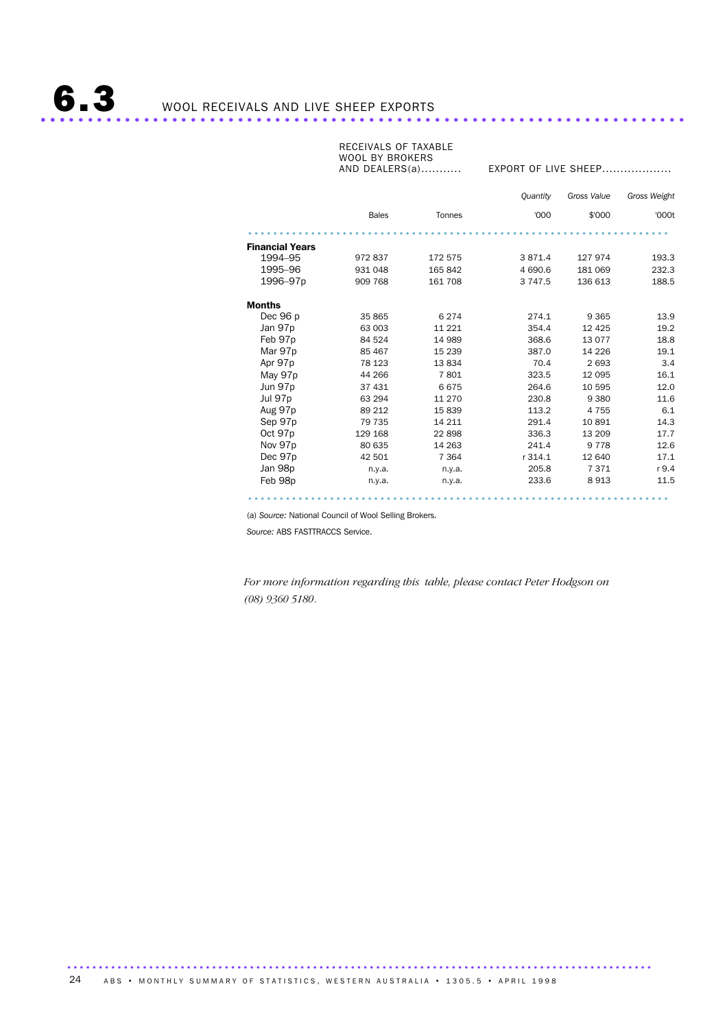### RECEIVALS OF TAXABLE WOOL BY BROKERS

AND DEALERS(a)........... EXPORT OF LIVE SHEEP...................

|                        |              |         | <b>Quantity</b> | Gross Value | Gross Weight |
|------------------------|--------------|---------|-----------------|-------------|--------------|
|                        | <b>Bales</b> | Tonnes  | '000            | \$'000      | '000t        |
|                        |              |         |                 |             |              |
| <b>Financial Years</b> |              |         |                 |             |              |
| 1994-95                | 972837       | 172 575 | 3 871.4         | 127 974     | 193.3        |
| 1995-96                | 931 048      | 165 842 | 4 690.6         | 181 069     | 232.3        |
| 1996-97p               | 909 768      | 161 708 | 3 7 4 7 .5      | 136 613     | 188.5        |
| <b>Months</b>          |              |         |                 |             |              |
| Dec 96 p               | 35 865       | 6 2 7 4 | 274.1           | 9 3 6 5     | 13.9         |
| Jan 97p                | 63 003       | 11 221  | 354.4           | 12 4 25     | 19.2         |
| Feb 97p                | 84 524       | 14 989  | 368.6           | 13 0 7 7    | 18.8         |
| Mar 97p                | 85 467       | 15 239  | 387.0           | 14 2 26     | 19.1         |
| Apr 97p                | 78 123       | 13834   | 70.4            | 2 6 9 3     | 3.4          |
| May 97p                | 44 266       | 7801    | 323.5           | 12 095      | 16.1         |
| Jun 97p                | 37 431       | 6675    | 264.6           | 10 595      | 12.0         |
| Jul 97p                | 63 294       | 11 270  | 230.8           | 9 3 8 0     | 11.6         |
| Aug 97p                | 89 212       | 15839   | 113.2           | 4 7 5 5     | 6.1          |
| Sep 97p                | 79 735       | 14 211  | 291.4           | 10891       | 14.3         |
| Oct 97p                | 129 168      | 22 898  | 336.3           | 13 209      | 17.7         |
| Nov 97p                | 80 635       | 14 263  | 241.4           | 9 7 7 8     | 12.6         |
| Dec 97p                | 42 501       | 7 3 6 4 | r 314.1         | 12 640      | 17.1         |
| Jan 98p                | n.y.a.       | n.y.a.  | 205.8           | 7371        | r9.4         |
| Feb 98p                | n.y.a.       | n.y.a.  | 233.6           | 8913        | 11.5         |
|                        |              |         |                 |             |              |

(a) *Source:* National Council of Wool Selling Brokers.

*Source:* ABS FASTTRACCS Service.

*For more information regarding this table, please contact Peter Hodgson on (08) 9360 5180*.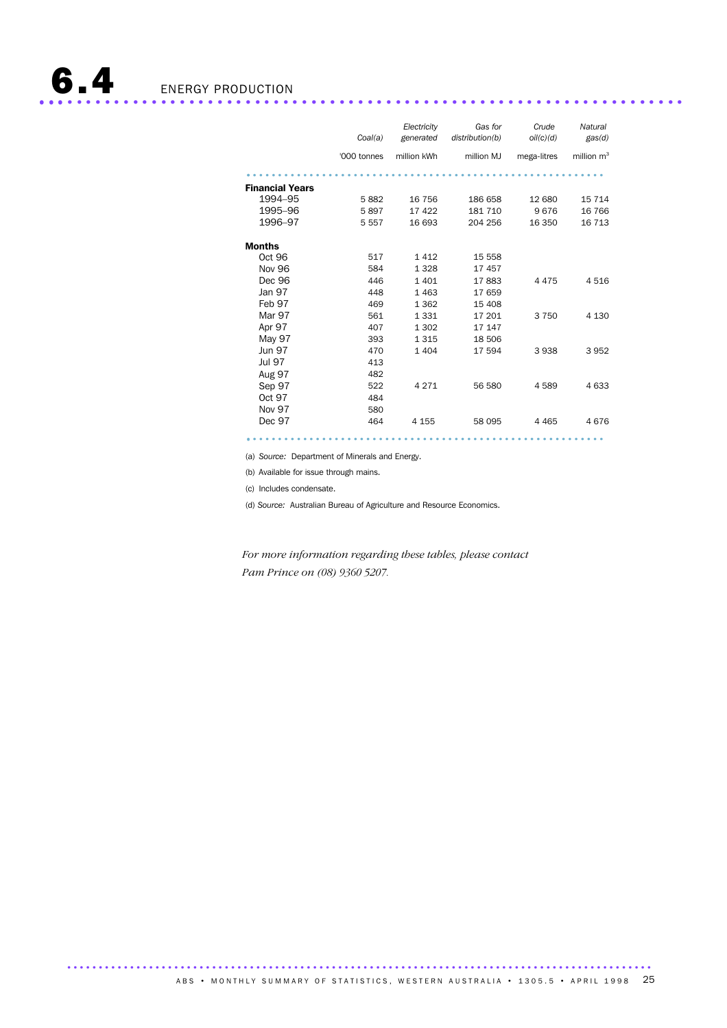|                        | Coal(a)     | Electricity<br>generated | Gas for<br>distribution(b) | Crude<br>oil(c)(d) | Natural<br>gas(d) |
|------------------------|-------------|--------------------------|----------------------------|--------------------|-------------------|
|                        | '000 tonnes | million kWh              | million MJ                 | mega-litres        | million $m3$      |
|                        |             |                          |                            |                    |                   |
| <b>Financial Years</b> |             |                          |                            |                    |                   |
| 1994-95                | 5882        | 16 756                   | 186 658                    | 12 680             | 15 7 14           |
| 1995-96                | 5897        | 17 422                   | 181 710                    | 9676               | 16 766            |
| 1996-97                | 5 5 5 7     | 16 693                   | 204 256                    | 16 350             | 16 7 13           |
| <b>Months</b>          |             |                          |                            |                    |                   |
| Oct 96                 | 517         | 1412                     | 15 558                     |                    |                   |
| <b>Nov 96</b>          | 584         | 1 3 2 8                  | 17457                      |                    |                   |
| Dec 96                 | 446         | 1401                     | 17883                      | 4475               | 4516              |
| Jan 97                 | 448         | 1463                     | 17659                      |                    |                   |
| Feb 97                 | 469         | 1 3 6 2                  | 15 408                     |                    |                   |
| Mar 97                 | 561         | 1 3 3 1                  | 17 201                     | 3 7 5 0            | 4 1 3 0           |
| Apr 97                 | 407         | 1 3 0 2                  | 17 147                     |                    |                   |
| May 97                 | 393         | 1 3 1 5                  | 18 506                     |                    |                   |
| <b>Jun 97</b>          | 470         | 1 4 0 4                  | 17 594                     | 3 9 3 8            | 3952              |
| <b>Jul 97</b>          | 413         |                          |                            |                    |                   |
| <b>Aug 97</b>          | 482         |                          |                            |                    |                   |
| Sep 97                 | 522         | 4 2 7 1                  | 56 580                     | 4589               | 4633              |
| Oct 97                 | 484         |                          |                            |                    |                   |
| Nov 97                 | 580         |                          |                            |                    |                   |
| Dec 97                 | 464         | 4 1 5 5                  | 58 095                     | 4 4 6 5            | 4676              |

(a) *Source:* Department of Minerals and Energy.

(b) Available for issue through mains.

(c) Includes condensate.

(d) *Source:* Australian Bureau of Agriculture and Resource Economics.

*For more information regarding these tables, please contact Pam Prince on (08) 9360 5207.*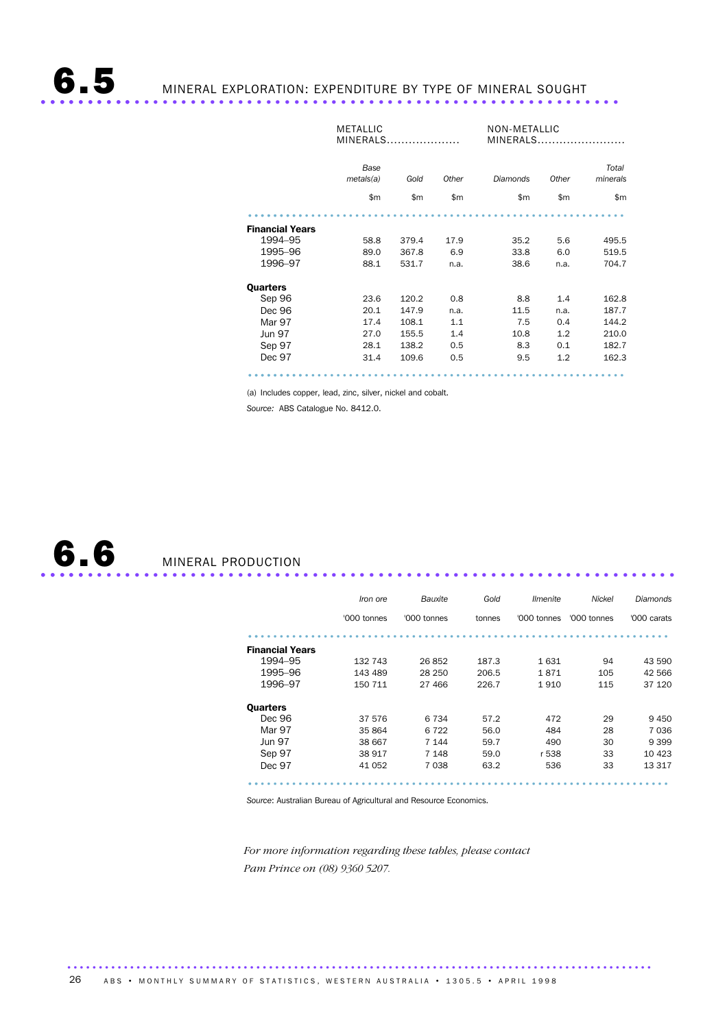# $\n **6.5.**\n **MINERAL EXPLORATION: EXPENDITIVE BY TYPE OF MINERAL SOLUTION**$

|                        | <b>METALLIC</b><br>MINERALS |       |       |          | NON-METALLIC<br>MINERALS |                   |  |
|------------------------|-----------------------------|-------|-------|----------|--------------------------|-------------------|--|
|                        | Base<br>metals(a)           | Gold  | Other | Diamonds | Other                    | Total<br>minerals |  |
|                        | \$m                         | \$m   | \$m\$ | \$m\$    | \$m                      | \$m\$             |  |
|                        |                             |       |       |          |                          |                   |  |
| <b>Financial Years</b> |                             |       |       |          |                          |                   |  |
| 1994-95                | 58.8                        | 379.4 | 17.9  | 35.2     | 5.6                      | 495.5             |  |
| 1995-96                | 89.0                        | 367.8 | 6.9   | 33.8     | 6.0                      | 519.5             |  |
| 1996-97                | 88.1                        | 531.7 | n.a.  | 38.6     | n.a.                     | 704.7             |  |
| <b>Quarters</b>        |                             |       |       |          |                          |                   |  |
| Sep 96                 | 23.6                        | 120.2 | 0.8   | 8.8      | 1.4                      | 162.8             |  |
| Dec 96                 | 20.1                        | 147.9 | n.a.  | 11.5     | n.a.                     | 187.7             |  |
| Mar 97                 | 17.4                        | 108.1 | 1.1   | 7.5      | 0.4                      | 144.2             |  |
| <b>Jun 97</b>          | 27.0                        | 155.5 | 1.4   | 10.8     | 1.2                      | 210.0             |  |
| Sep 97                 | 28.1                        | 138.2 | 0.5   | 8.3      | 0.1                      | 182.7             |  |
| Dec 97                 | 31.4                        | 109.6 | 0.5   | 9.5      | 1.2                      | 162.3             |  |
|                        |                             |       |       |          |                          | .                 |  |

(a) Includes copper, lead, zinc, silver, nickel and cobalt.

*Source:* ABS Catalogue No. 8412.0.



|                        | Iron ore    | Bauxite     | Gold   | <i><u><b>Ilmenite</b></u></i> | Nickel      | Diamonds    |
|------------------------|-------------|-------------|--------|-------------------------------|-------------|-------------|
|                        | '000 tonnes | '000 tonnes | tonnes | '000 tonnes                   | '000 tonnes | '000 carats |
|                        |             |             |        |                               |             |             |
| <b>Financial Years</b> |             |             |        |                               |             |             |
| 1994–95                | 132 743     | 26 852      | 187.3  | 1631                          | 94          | 43 590      |
| 1995-96                | 143 489     | 28 250      | 206.5  | 1871                          | 105         | 42 566      |
| 1996-97                | 150 711     | 27 466      | 226.7  | 1910                          | 115         | 37 1 20     |
| Quarters               |             |             |        |                               |             |             |
| Dec 96                 | 37 576      | 6 7 3 4     | 57.2   | 472                           | 29          | 9450        |
| Mar 97                 | 35 864      | 6 7 2 2     | 56.0   | 484                           | 28          | 7 0 3 6     |
| <b>Jun 97</b>          | 38 667      | 7 1 4 4     | 59.7   | 490                           | 30          | 9 3 9 9     |
| Sep 97                 | 38 917      | 7 1 4 8     | 59.0   | r 538                         | 33          | 10 4 23     |
| Dec 97                 | 41 052      | 7 0 3 8     | 63.2   | 536                           | 33          | 13 3 17     |
|                        |             |             |        |                               |             |             |

*Source*: Australian Bureau of Agricultural and Resource Economics.

.............................................................................................

*For more information regarding these tables, please contact Pam Prince on (08) 9360 5207.*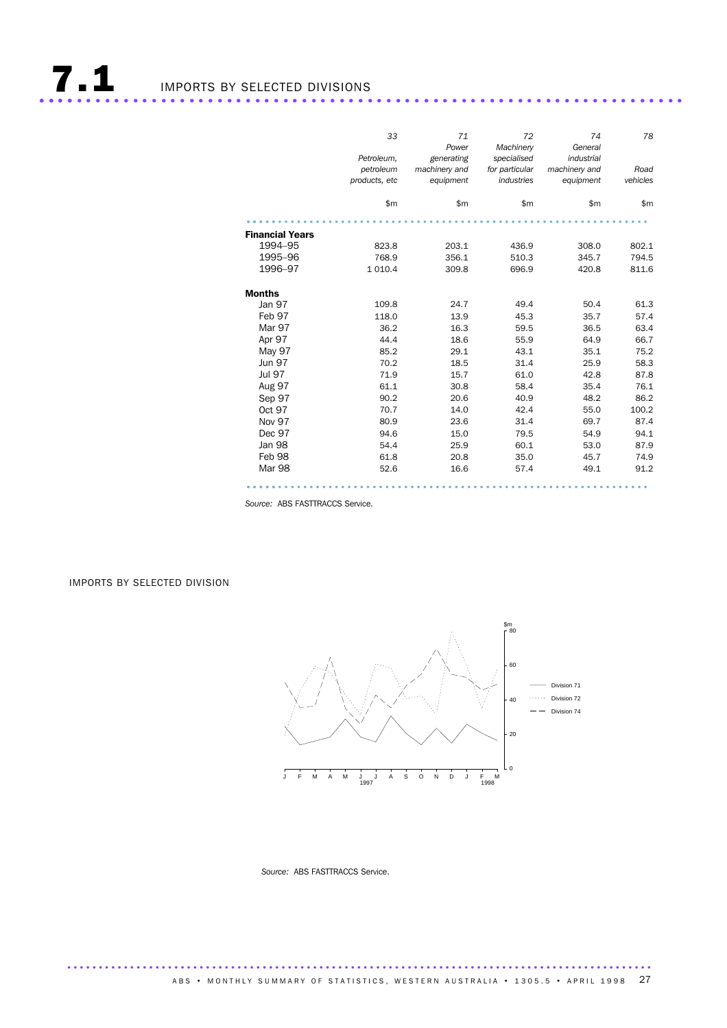|                        | 33<br>Petroleum.<br>petroleum<br>products, etc | 71<br>Power<br>generating<br>machinery and<br>equipment | 72<br>Machinery<br>specialised<br>for particular<br>industries | 74<br>General<br>industrial<br>machinery and<br>equipment | 78<br>Road<br>vehicles |
|------------------------|------------------------------------------------|---------------------------------------------------------|----------------------------------------------------------------|-----------------------------------------------------------|------------------------|
|                        | \$m                                            | \$m                                                     | \$m                                                            | $\mathsf{m}$                                              | \$m\$                  |
| <b>Financial Years</b> |                                                |                                                         |                                                                |                                                           |                        |
| 1994-95                | 823.8                                          | 203.1                                                   | 436.9                                                          | 308.0                                                     | 802.1                  |
| 1995-96                | 768.9                                          | 356.1                                                   | 510.3                                                          | 345.7                                                     | 794.5                  |
| 1996-97                | 1 0 1 0.4                                      | 309.8                                                   | 696.9                                                          | 420.8                                                     | 811.6                  |
| <b>Months</b>          |                                                |                                                         |                                                                |                                                           |                        |
| Jan 97                 | 109.8                                          | 24.7                                                    | 49.4                                                           | 50.4                                                      | 61.3                   |
| Feb 97                 | 118.0                                          | 13.9                                                    | 45.3                                                           | 35.7                                                      | 57.4                   |
| Mar 97                 | 36.2                                           | 16.3                                                    | 59.5                                                           | 36.5                                                      | 63.4                   |
| Apr 97                 | 44.4                                           | 18.6                                                    | 55.9                                                           | 64.9                                                      | 66.7                   |
| May 97                 | 85.2                                           | 29.1                                                    | 43.1                                                           | 35.1                                                      | 75.2                   |
| <b>Jun 97</b>          | 70.2                                           | 18.5                                                    | 31.4                                                           | 25.9                                                      | 58.3                   |
| <b>Jul 97</b>          | 71.9                                           | 15.7                                                    | 61.0                                                           | 42.8                                                      | 87.8                   |
| <b>Aug 97</b>          | 61.1                                           | 30.8                                                    | 58.4                                                           | 35.4                                                      | 76.1                   |
| Sep 97                 | 90.2                                           | 20.6                                                    | 40.9                                                           | 48.2                                                      | 86.2                   |
| Oct 97                 | 70.7                                           | 14.0                                                    | 42.4                                                           | 55.0                                                      | 100.2                  |
| Nov 97                 | 80.9                                           | 23.6                                                    | 31.4                                                           | 69.7                                                      | 87.4                   |
| Dec 97                 | 94.6                                           | 15.0                                                    | 79.5                                                           | 54.9                                                      | 94.1                   |
| <b>Jan 98</b>          | 54.4                                           | 25.9                                                    | 60.1                                                           | 53.0                                                      | 87.9                   |
| Feb 98                 | 61.8                                           | 20.8                                                    | 35.0                                                           | 45.7                                                      | 74.9                   |
| Mar 98                 | 52.6                                           | 16.6                                                    | 57.4                                                           | 49.1                                                      | 91.2                   |
|                        |                                                |                                                         |                                                                |                                                           |                        |

*Source:* ABS FASTTRACCS Service.

IMPORTS BY SELECTED DIVISION



 *Source:* ABS FASTTRACCS Service.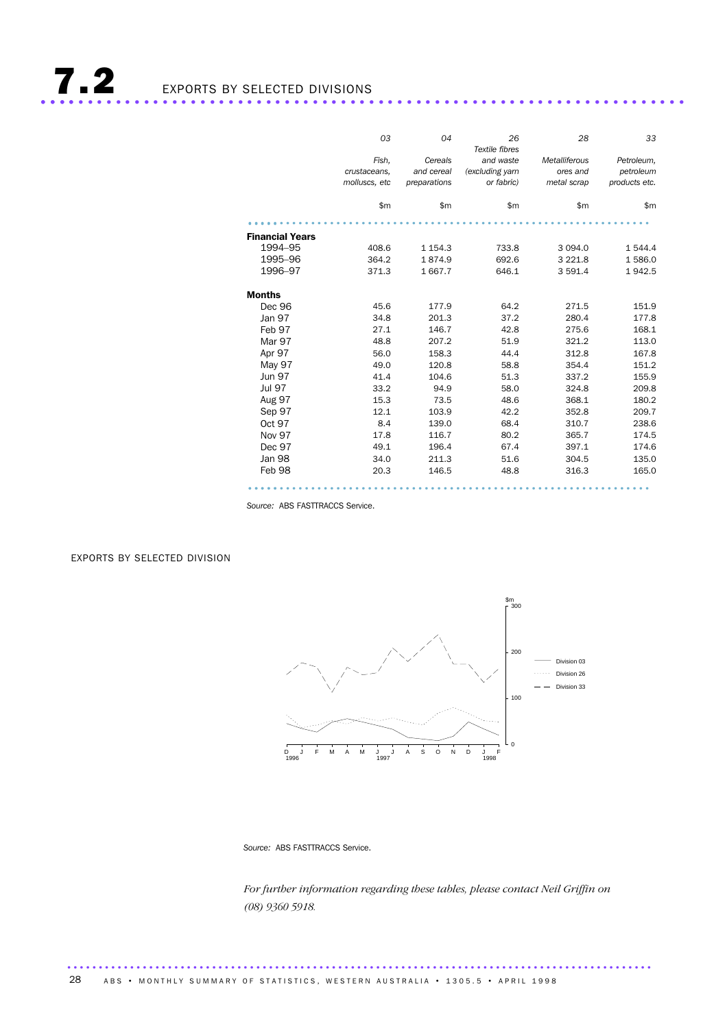7.2 EXPORTS BY SELECTED DIVISIONS ..................................................................... ....

|                        | 03            | 04           | 26<br>Textile fibres | 28                   | 33            |
|------------------------|---------------|--------------|----------------------|----------------------|---------------|
|                        | Fish.         | Cereals      | and waste            | <b>Metalliferous</b> | Petroleum.    |
|                        | crustaceans.  | and cereal   | (excluding yarn      | ores and             | petroleum     |
|                        | molluscs, etc | preparations | or fabric)           | metal scrap          | products etc. |
|                        | \$m           | \$m          | \$m                  | \$m                  | \$m\$         |
|                        |               |              |                      |                      |               |
| <b>Financial Years</b> |               |              |                      |                      |               |
| 1994-95                | 408.6         | 1 1 5 4 . 3  | 733.8                | 3 0 9 4 .0           | 1544.4        |
| 1995-96                | 364.2         | 1874.9       | 692.6                | 3 2 2 1.8            | 1586.0        |
| 1996-97                | 371.3         | 1 667.7      | 646.1                | 3 5 9 1.4            | 1942.5        |
| <b>Months</b>          |               |              |                      |                      |               |
| Dec 96                 | 45.6          | 177.9        | 64.2                 | 271.5                | 151.9         |
| <b>Jan 97</b>          | 34.8          | 201.3        | 37.2                 | 280.4                | 177.8         |
| Feb 97                 | 27.1          | 146.7        | 42.8                 | 275.6                | 168.1         |
| Mar 97                 | 48.8          | 207.2        | 51.9                 | 321.2                | 113.0         |
| Apr 97                 | 56.0          | 158.3        | 44.4                 | 312.8                | 167.8         |
| May 97                 | 49.0          | 120.8        | 58.8                 | 354.4                | 151.2         |
| <b>Jun 97</b>          | 41.4          | 104.6        | 51.3                 | 337.2                | 155.9         |
| <b>Jul 97</b>          | 33.2          | 94.9         | 58.0                 | 324.8                | 209.8         |
| <b>Aug 97</b>          | 15.3          | 73.5         | 48.6                 | 368.1                | 180.2         |
| Sep 97                 | 12.1          | 103.9        | 42.2                 | 352.8                | 209.7         |
| Oct 97                 | 8.4           | 139.0        | 68.4                 | 310.7                | 238.6         |
| <b>Nov 97</b>          | 17.8          | 116.7        | 80.2                 | 365.7                | 174.5         |
| Dec 97                 | 49.1          | 196.4        | 67.4                 | 397.1                | 174.6         |
| <b>Jan 98</b>          | 34.0          | 211.3        | 51.6                 | 304.5                | 135.0         |
| Feb 98                 | 20.3          | 146.5        | 48.8                 | 316.3                | 165.0         |
|                        |               |              |                      |                      |               |

*Source:* ABS FASTTRACCS Service.

EXPORTS BY SELECTED DIVISION



 *Source:* ABS FASTTRACCS Service.

*For further information regarding these tables, please contact Neil Griffin on (08) 9360 5918.*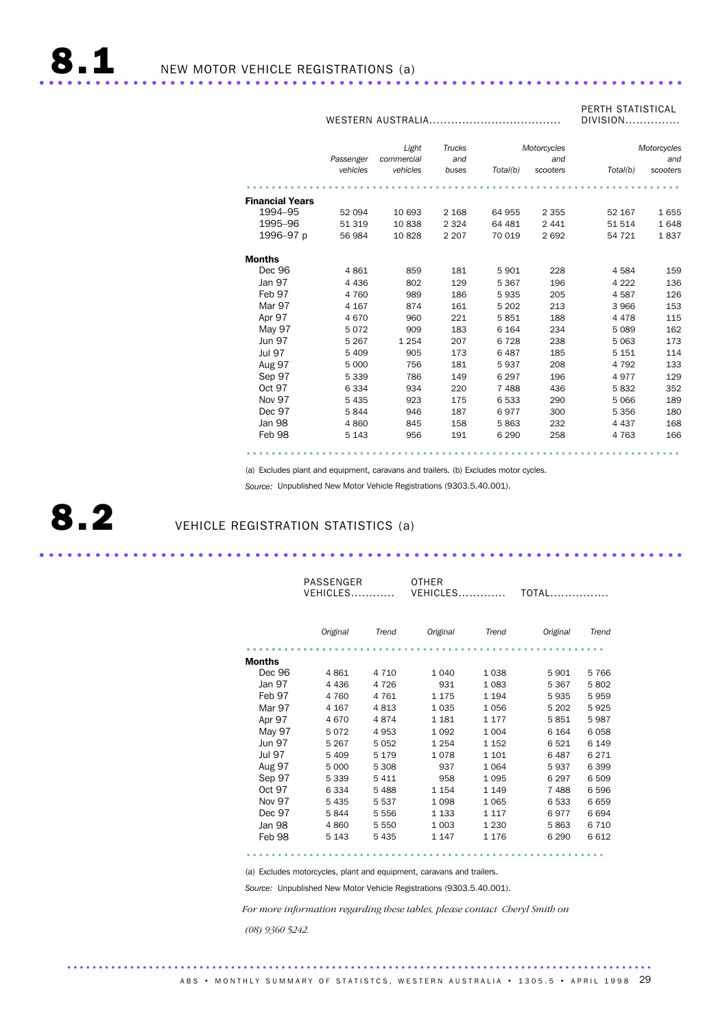

#### WESTERN AUSTRALIA....................................

#### PERTH STATISTICAL DIVISION...............

|                        | Passenger<br>vehicles | Light<br>commercial<br>vehicles | <b>Trucks</b><br>and<br>buses | Total(b) | Motorcycles<br>and<br>scooters | Total(b) | Motorcycles<br>and<br>scooters |
|------------------------|-----------------------|---------------------------------|-------------------------------|----------|--------------------------------|----------|--------------------------------|
| <b>Financial Years</b> |                       |                                 |                               |          |                                |          |                                |
| 1994-95                | 52 094                | 10 693                          | 2 1 6 8                       | 64 955   | 2 3 5 5                        | 52 167   | 1655                           |
| 1995-96                | 51 319                | 10838                           | 2 3 2 4                       | 64 481   | 2 4 4 1                        | 51 514   | 1648                           |
| 1996-97 p              | 56 984                | 10828                           | 2 2 0 7                       | 70 019   | 2692                           | 54 721   | 1837                           |
| <b>Months</b>          |                       |                                 |                               |          |                                |          |                                |
| Dec 96                 | 4861                  | 859                             | 181                           | 5901     | 228                            | 4584     | 159                            |
| Jan 97                 | 4 4 3 6               | 802                             | 129                           | 5 3 6 7  | 196                            | 4 2 2 2  | 136                            |
| Feb 97                 | 4 7 6 0               | 989                             | 186                           | 5935     | 205                            | 4587     | 126                            |
| Mar 97                 | 4 1 6 7               | 874                             | 161                           | 5 2 0 2  | 213                            | 3966     | 153                            |
| Apr 97                 | 4670                  | 960                             | 221                           | 5851     | 188                            | 4478     | 115                            |
| May 97                 | 5072                  | 909                             | 183                           | 6 1 6 4  | 234                            | 5089     | 162                            |
| <b>Jun 97</b>          | 5 2 6 7               | 1 2 5 4                         | 207                           | 6728     | 238                            | 5063     | 173                            |
| <b>Jul 97</b>          | 5 4 0 9               | 905                             | 173                           | 6487     | 185                            | 5 1 5 1  | 114                            |
| <b>Aug 97</b>          | 5 0 0 0               | 756                             | 181                           | 5937     | 208                            | 4 7 9 2  | 133                            |
| Sep 97                 | 5 3 3 9               | 786                             | 149                           | 6 2 9 7  | 196                            | 4977     | 129                            |
| Oct 97                 | 6 3 3 4               | 934                             | 220                           | 7488     | 436                            | 5832     | 352                            |
| Nov 97                 | 5 4 3 5               | 923                             | 175                           | 6533     | 290                            | 5 0 6 6  | 189                            |
| Dec 97                 | 5844                  | 946                             | 187                           | 6977     | 300                            | 5 3 5 6  | 180                            |
| Jan 98                 | 4860                  | 845                             | 158                           | 5863     | 232                            | 4 4 3 7  | 168                            |
| Feb 98                 | 5 1 4 3               | 956                             | 191                           | 6 2 9 0  | 258                            | 4 7 6 3  | 166                            |

.....................................................................

(a) Excludes plant and equipment, caravans and trailers. (b) Excludes motor cycles.

*Source:* Unpublished New Motor Vehicle Registrations (9303.5.40.001).

# 8.2 **VEHICLE REGISTRATION STATISTICS** (a) ..................................................................... .

#### PASSENGER VEHICLES............ OTHER

VEHICLES............. TOTAL................

|               | Original | Trend   | Original | Trend   | Original | Trend   |
|---------------|----------|---------|----------|---------|----------|---------|
| <b>Months</b> |          |         |          |         |          |         |
| Dec 96        | 4861     | 4 7 1 0 | 1040     | 1038    | 5 9 0 1  | 5766    |
| Jan 97        | 4 4 3 6  | 4 7 2 6 | 931      | 1083    | 5 3 6 7  | 5802    |
| Feb 97        | 4 7 6 0  | 4 7 6 1 | 1 1 7 5  | 1 1 9 4 | 5935     | 5959    |
| Mar 97        | 4 1 6 7  | 4813    | 1035     | 1056    | 5 20 2   | 5925    |
| Apr 97        | 4670     | 4874    | 1 1 8 1  | 1 1 7 7 | 5851     | 5987    |
| May 97        | 5072     | 4953    | 1092     | 1 0 0 4 | 6 1 6 4  | 6058    |
| <b>Jun 97</b> | 5 2 6 7  | 5 0 5 2 | 1 2 5 4  | 1 1 5 2 | 6521     | 6 1 4 9 |
| Jul 97        | 5 4 0 9  | 5 1 7 9 | 1078     | 1 1 0 1 | 6487     | 6 2 7 1 |
| <b>Aug 97</b> | 5 0 0 0  | 5 3 0 8 | 937      | 1 0 6 4 | 5937     | 6 3 9 9 |
| Sep 97        | 5 3 3 9  | 5411    | 958      | 1095    | 6 2 9 7  | 6509    |
| Oct 97        | 6 3 3 4  | 5488    | 1 1 5 4  | 1 1 4 9 | 7488     | 6 5 9 6 |
| <b>Nov 97</b> | 5 4 3 5  | 5 5 3 7 | 1098     | 1065    | 6 5 3 3  | 6659    |
| Dec 97        | 5844     | 5 5 5 6 | 1 1 3 3  | 1 1 1 7 | 6977     | 6694    |
| Jan 98        | 4860     | 5 5 5 0 | 1 0 0 3  | 1 2 3 0 | 5863     | 6 7 1 0 |
| Feb 98        | 5 1 4 3  | 5 4 3 5 | 1 1 4 7  | 1 1 7 6 | 6 2 9 0  | 6612    |

.........................................................

(a) Excludes motorcycles, plant and equipment, caravans and trailers.

.............................................................................................

*Source:* Unpublished New Motor Vehicle Registrations (9303.5.40.001).

*For more information regarding these tables, please contact Cheryl Smith on*

 *(08) 9360 5242.*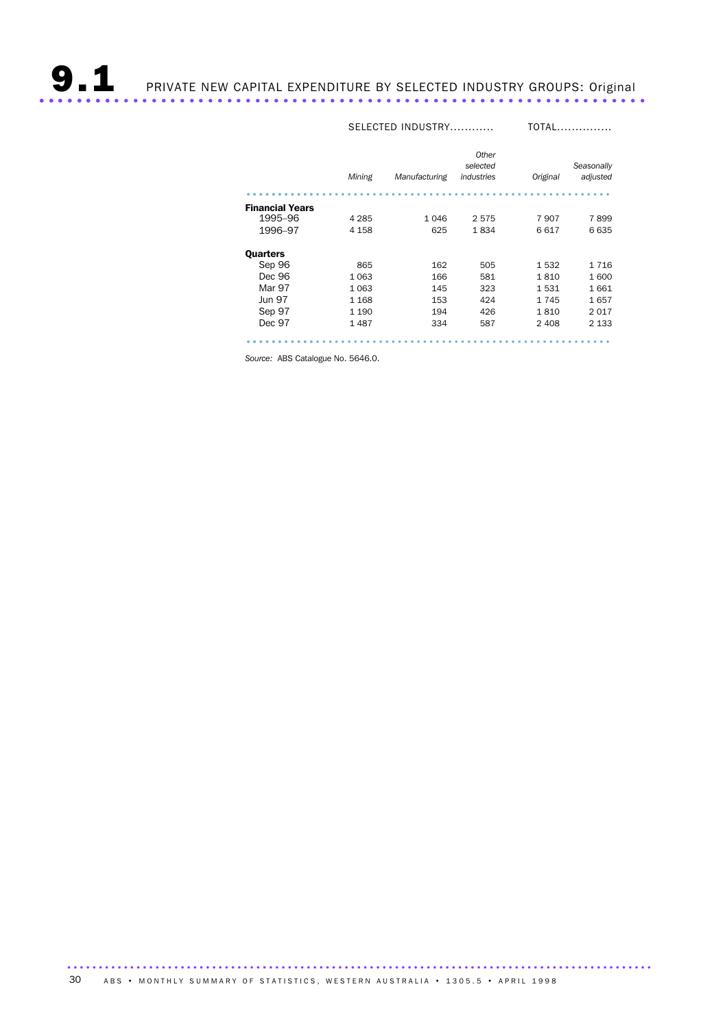|                        |         | SELECTED INDUSTRY |                                 |          | TOTAL.                 |  |
|------------------------|---------|-------------------|---------------------------------|----------|------------------------|--|
|                        | Mining  | Manufacturing     | Other<br>selected<br>industries | Original | Seasonally<br>adjusted |  |
| <b>Financial Years</b> |         |                   |                                 |          |                        |  |
| 1995-96                | 4 2 8 5 | 1 0 4 6           | 2575                            | 7907     | 7899                   |  |
| 1996-97                | 4 1 5 8 | 625               | 1834                            | 6617     | 6635                   |  |
| <b>Quarters</b>        |         |                   |                                 |          |                        |  |
| Sep 96                 | 865     | 162               | 505                             | 1532     | 1 7 1 6                |  |
| Dec 96                 | 1 0 6 3 | 166               | 581                             | 1810     | 1600                   |  |
| Mar 97                 | 1 0 6 3 | 145               | 323                             | 1531     | 1661                   |  |
| <b>Jun 97</b>          | 1 1 6 8 | 153               | 424                             | 1745     | 1657                   |  |
| Sep 97                 | 1 1 9 0 | 194               | 426                             | 1810     | 2017                   |  |
| Dec 97                 | 1487    | 334               | 587                             | 2408     | 2 1 3 3                |  |
|                        |         |                   |                                 |          |                        |  |

*Source:* ABS Catalogue No. 5646.0.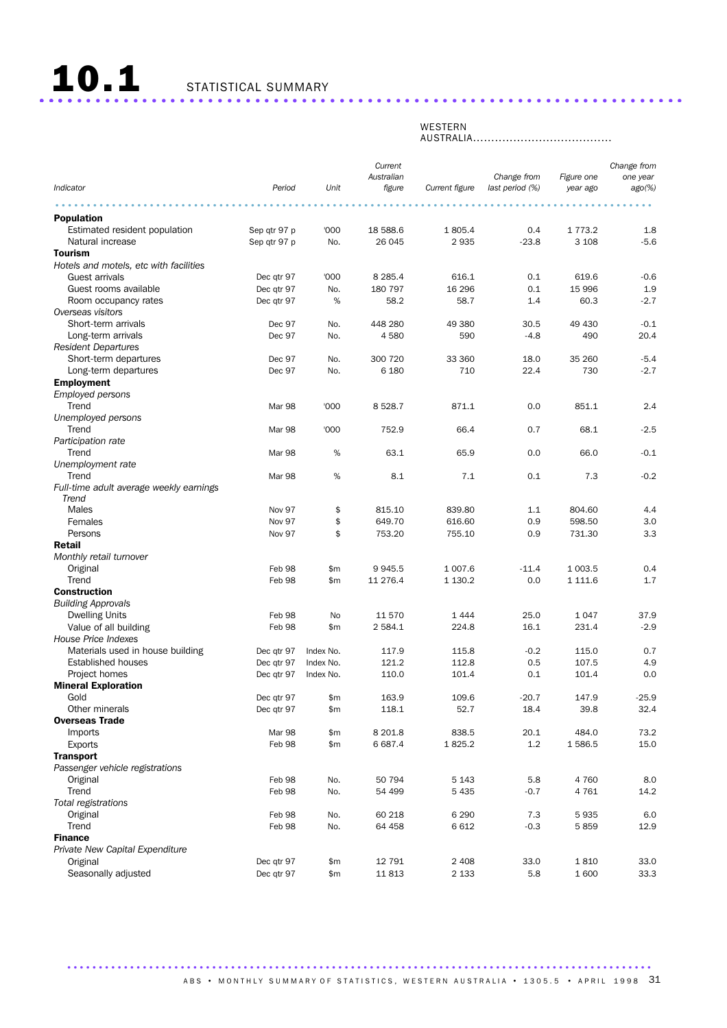|                                                  |              |           | Current    |                |                 |            | Change from |
|--------------------------------------------------|--------------|-----------|------------|----------------|-----------------|------------|-------------|
|                                                  |              |           | Australian |                | Change from     | Figure one | one year    |
| Indicator                                        | Period       | Unit      | figure     | Current figure | last period (%) | year ago   | ago(%)      |
|                                                  |              |           |            |                |                 |            |             |
| <b>Population</b>                                |              |           |            |                |                 |            |             |
| Estimated resident population                    | Sep qtr 97 p | '000      | 18 588.6   | 1805.4         | 0.4             | 1 773.2    | 1.8         |
| Natural increase                                 | Sep qtr 97 p | No.       | 26 045     | 2935           | $-23.8$         | 3 1 0 8    | $-5.6$      |
| <b>Tourism</b>                                   |              |           |            |                |                 |            |             |
| Hotels and motels, etc with facilities           |              |           |            |                |                 |            |             |
| Guest arrivals                                   | Dec qtr 97   | '000      | 8 2 8 5.4  | 616.1          | 0.1             | 619.6      | $-0.6$      |
| Guest rooms available                            | Dec qtr 97   | No.       | 180 797    | 16 29 6        | 0.1             | 15 996     | 1.9         |
| Room occupancy rates                             | Dec qtr 97   | $\%$      | 58.2       | 58.7           | 1.4             | 60.3       | $-2.7$      |
| Overseas visitors                                |              |           |            |                |                 |            |             |
| Short-term arrivals                              | Dec 97       | No.       | 448 280    | 49 380         | 30.5            | 49 430     | $-0.1$      |
| Long-term arrivals                               | Dec 97       | No.       | 4 5 8 0    | 590            | $-4.8$          | 490        | 20.4        |
| <b>Resident Departures</b>                       |              |           |            |                |                 |            |             |
| Short-term departures                            | Dec 97       | No.       | 300 720    | 33 360         | 18.0            | 35 260     | $-5.4$      |
| Long-term departures                             | Dec 97       | No.       | 6 1 8 0    | 710            | 22.4            | 730        | $-2.7$      |
| <b>Employment</b>                                |              |           |            |                |                 |            |             |
| <b>Employed persons</b>                          |              |           |            |                |                 |            |             |
| Trend                                            | Mar 98       | '000      | 8 5 28.7   | 871.1          | 0.0             | 851.1      | 2.4         |
| Unemployed persons                               |              |           |            |                |                 |            |             |
| Trend                                            | Mar 98       | '000      | 752.9      | 66.4           | 0.7             | 68.1       | $-2.5$      |
| Participation rate                               |              |           |            |                |                 |            |             |
| Trend                                            | Mar 98       | %         | 63.1       | 65.9           | 0.0             | 66.0       | $-0.1$      |
| Unemployment rate                                |              |           |            |                |                 |            |             |
| Trend                                            | Mar 98       | $\%$      | 8.1        | 7.1            | 0.1             | 7.3        | $-0.2$      |
| Full-time adult average weekly earnings<br>Trend |              |           |            |                |                 |            |             |
| Males                                            | Nov 97       | \$        | 815.10     | 839.80         | 1.1             | 804.60     | 4.4         |
| Females                                          | Nov 97       | \$        | 649.70     | 616.60         | 0.9             | 598.50     | 3.0         |
| Persons                                          | Nov 97       | \$        | 753.20     | 755.10         | 0.9             | 731.30     | 3.3         |
| <b>Retail</b>                                    |              |           |            |                |                 |            |             |
| Monthly retail turnover                          |              |           |            |                |                 |            |             |
| Original                                         | Feb 98       | \$m       | 9945.5     | 1 0 0 7.6      | $-11.4$         | 1 003.5    | 0.4         |
| Trend                                            | Feb 98       | \$m       | 11 276.4   | 1 1 3 0.2      | 0.0             | 1 111.6    | 1.7         |
| <b>Construction</b>                              |              |           |            |                |                 |            |             |
| <b>Building Approvals</b>                        |              |           |            |                |                 |            |             |
| <b>Dwelling Units</b>                            | Feb 98       | No        | 11 570     | 1444           | 25.0            | 1047       | 37.9        |
| Value of all building                            | Feb 98       | \$m       | 2 5 8 4.1  | 224.8          | 16.1            | 231.4      | $-2.9$      |
| House Price Indexes                              |              |           |            |                |                 |            |             |
| Materials used in house building                 | Dec qtr 97   | Index No. | 117.9      | 115.8          | $-0.2$          | 115.0      | 0.7         |
| <b>Established houses</b>                        | Dec qtr 97   | Index No. | 121.2      | 112.8          | 0.5             | 107.5      | 4.9         |
| Project homes                                    | Dec qtr 97   | Index No. | 110.0      | 101.4          | 0.1             | 101.4      | 0.0         |
| <b>Mineral Exploration</b>                       |              |           |            |                |                 |            |             |
| Gold                                             | Dec gtr 97   | \$m       | 163.9      | 109.6          | $-20.7$         | 147.9      | $-25.9$     |
| Other minerals                                   | Dec qtr 97   | \$m       | 118.1      | 52.7           | 18.4            | 39.8       | 32.4        |
| <b>Overseas Trade</b>                            |              |           |            |                |                 |            |             |
| <b>Imports</b>                                   | Mar 98       | \$m       | 8 201.8    | 838.5          | 20.1            | 484.0      | 73.2        |
| <b>Exports</b>                                   | Feb 98       | \$m       | 6 687.4    | 1825.2         | 1.2             | 1586.5     | 15.0        |
| <b>Transport</b>                                 |              |           |            |                |                 |            |             |
| Passenger vehicle registrations                  |              |           |            |                |                 |            |             |
| Original                                         | Feb 98       | No.       | 50 794     | 5 1 4 3        | 5.8             | 4 7 6 0    | 8.0         |
| Trend                                            | Feb 98       | No.       | 54 499     | 5 4 3 5        | $-0.7$          | 4761       | 14.2        |
| Total registrations                              |              |           |            |                |                 |            |             |
| Original                                         | Feb 98       | No.       | 60 218     | 6 2 9 0        | 7.3             | 5935       | 6.0         |
| Trend                                            | Feb 98       | No.       | 64 458     | 6612           | $-0.3$          | 5859       | 12.9        |
| <b>Finance</b>                                   |              |           |            |                |                 |            |             |
| Private New Capital Expenditure                  |              |           |            |                |                 |            |             |
| Original                                         | Dec qtr 97   | \$m\$     | 12 791     | 2 4 0 8        | 33.0            | 1810       | 33.0        |
| Seasonally adjusted                              | Dec qtr 97   | \$m       | 11813      | 2 1 3 3        | 5.8             | 1600       | 33.3        |

## WESTERN

AUSTRALIA......................................